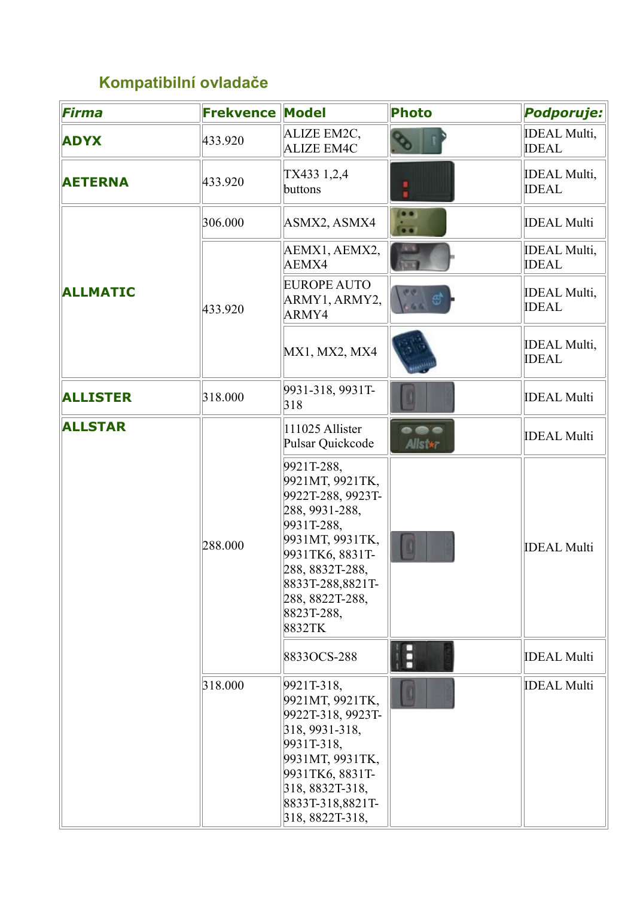## **Kompatibilní ovladače**

| <b>Firma</b>    | <b>Frekvence</b> | <b>Model</b>                                                                                                                                                                                               | <b>Photo</b> | Podporuje:                          |
|-----------------|------------------|------------------------------------------------------------------------------------------------------------------------------------------------------------------------------------------------------------|--------------|-------------------------------------|
| <b>ADYX</b>     | 433.920          | ALIZE EM2C,<br><b>ALIZE EM4C</b>                                                                                                                                                                           |              | <b>IDEAL Multi,</b><br><b>IDEAL</b> |
| <b>AETERNA</b>  | 433.920          | TX433 1,2,4<br>buttons                                                                                                                                                                                     | ٠            | <b>IDEAL Multi,</b><br><b>IDEAL</b> |
|                 | 306.000          | ASMX2, ASMX4                                                                                                                                                                                               | $\bullet$    | <b>IDEAL Multi</b>                  |
|                 |                  | AEMX1, AEMX2,<br>AEMX4                                                                                                                                                                                     |              | <b>IDEAL Multi,</b><br><b>IDEAL</b> |
| <b>ALLMATIC</b> | 433.920          | <b>EUROPE AUTO</b><br>ARMY1, ARMY2,<br>ARMY4                                                                                                                                                               |              | <b>IDEAL Multi,</b><br><b>IDEAL</b> |
|                 |                  | MX1, MX2, MX4                                                                                                                                                                                              |              | <b>IDEAL Multi,</b><br><b>IDEAL</b> |
| <b>ALLISTER</b> | 318.000          | 9931-318, 9931T-<br>318                                                                                                                                                                                    |              | <b>IDEAL Multi</b>                  |
| <b>ALLSTAR</b>  |                  | 111025 Allister<br>Pulsar Quickcode                                                                                                                                                                        | <br>Alls *   | <b>IDEAL Multi</b>                  |
|                 | 288.000          | 9921T-288,<br>9921MT, 9921TK,<br>9922T-288, 9923T-<br>288, 9931-288,<br>9931T-288,<br>9931MT, 9931TK,<br>9931TK6, 8831T-<br>288, 8832T-288,<br>8833T-288,8821T-<br>288, 8822T-288,<br>8823T-288,<br>8832TK |              | <b>IDEAL Multi</b>                  |
|                 |                  | 8833OCS-288                                                                                                                                                                                                | Ħ            | <b>IDEAL Multi</b>                  |
|                 | 318.000          | 9921T-318,<br>9921MT, 9921TK,<br>9922T-318, 9923T-<br>318, 9931-318,<br>9931T-318,<br>9931MT, 9931TK,<br>9931TK6, 8831T-<br>318, 8832T-318,<br>8833T-318,8821T-<br>318, 8822T-318,                         |              | <b>IDEAL Multi</b>                  |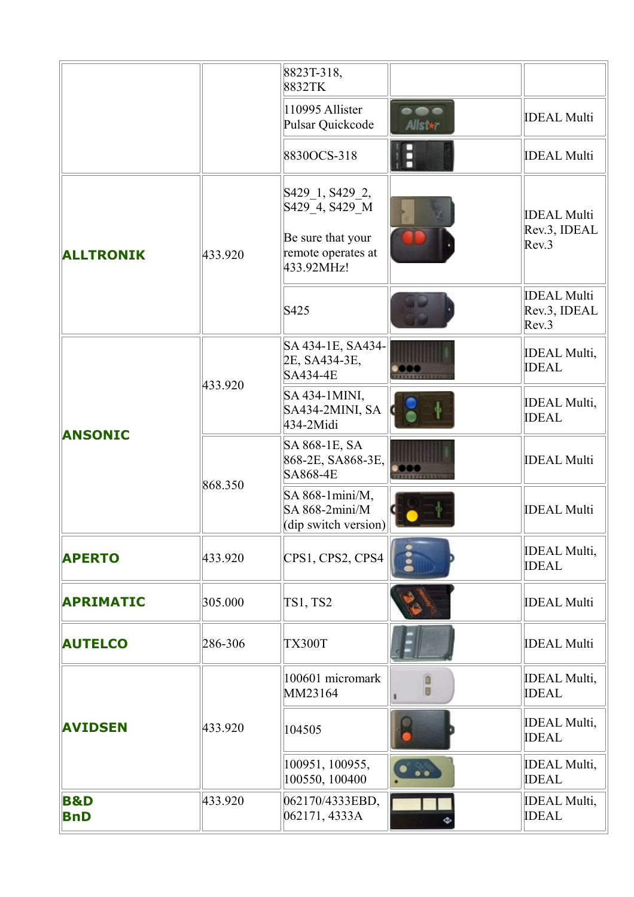|                              |         | 8823T-318,<br>8832TK                                       |             |                                             |
|------------------------------|---------|------------------------------------------------------------|-------------|---------------------------------------------|
|                              |         | 110995 Allister<br>Pulsar Quickcode                        | .<br>Alls * | <b>IDEAL Multi</b>                          |
|                              |         | 8830OCS-318                                                |             | <b>IDEAL Multi</b>                          |
|                              |         | S429 <sub>1</sub> , S429 <sub>2</sub> ,<br>S429_4, S429_M  |             | <b>IDEAL Multi</b>                          |
| <b>ALLTRONIK</b>             | 433.920 | Be sure that your<br>remote operates at<br>433.92MHz!      |             | Rev.3, IDEAL<br>Rev.3                       |
|                              |         | S425                                                       |             | <b>IDEAL Multi</b><br>Rev.3, IDEAL<br>Rev.3 |
|                              | 433.920 | SA 434-1E, SA434-<br>2E, SA434-3E,<br>SA434-4E             |             | <b>IDEAL Multi,</b><br><b>IDEAL</b>         |
| <b>ANSONIC</b>               |         | SA 434-1MINI,<br>SA434-2MINI, SA<br>434-2Midi              |             | <b>IDEAL Multi,</b><br><b>IDEAL</b>         |
|                              | 868.350 | SA 868-1E, SA<br>868-2E, SA868-3E,<br><b>SA868-4E</b>      |             | <b>IDEAL Multi</b>                          |
|                              |         | SA 868-1mini/M,<br>$SA 868-2min/M$<br>(dip switch version) |             | <b>IDEAL Multi</b>                          |
| <b>APERTO</b>                | 433.920 | CPS1, CPS2, CPS4                                           |             | <b>IDEAL Multi,</b><br><b>IDEAL</b>         |
| <b>APRIMATIC</b>             | 305.000 | <b>TS1, TS2</b>                                            |             | <b>IDEAL Multi</b>                          |
| <b>AUTELCO</b>               | 286-306 | <b>TX300T</b>                                              |             | <b>IDEAL Multi</b>                          |
|                              |         | 100601 micromark<br>MM23164                                | Ū           | <b>IDEAL Multi,</b><br><b>IDEAL</b>         |
| <b>AVIDSEN</b>               | 433.920 | 104505                                                     |             | <b>IDEAL Multi,</b><br><b>IDEAL</b>         |
|                              |         | 100951, 100955,<br>100550, 100400                          |             | <b>IDEAL Multi,</b><br><b>IDEAL</b>         |
| <b>B&amp;D</b><br><b>BnD</b> | 433.920 | 062170/4333EBD,<br>062171, 4333A                           |             | <b>IDEAL Multi,</b><br><b>IDEAL</b>         |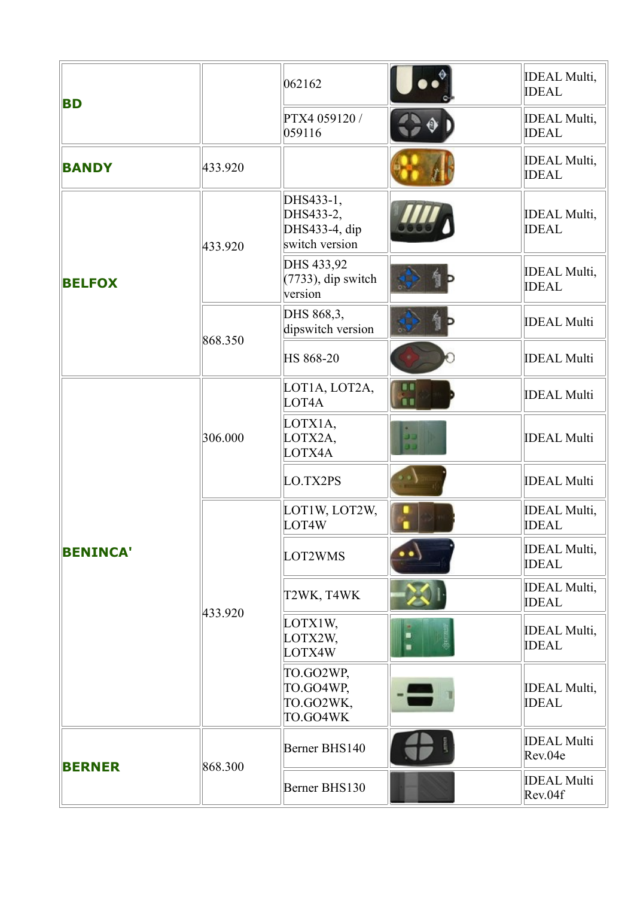|                 |         | 062162                                                    |          | <b>IDEAL Multi,</b><br><b>IDEAL</b> |
|-----------------|---------|-----------------------------------------------------------|----------|-------------------------------------|
| <b>BD</b>       |         | PTX4 059120 /<br>059116                                   |          | <b>IDEAL Multi,</b><br><b>IDEAL</b> |
| <b>BANDY</b>    | 433.920 |                                                           |          | <b>IDEAL Multi,</b><br><b>IDEAL</b> |
|                 | 433.920 | DHS433-1,<br>DHS433-2,<br>DHS433-4, dip<br>switch version |          | <b>IDEAL Multi,</b><br><b>IDEAL</b> |
| <b>BELFOX</b>   |         | DHS 433,92<br>$(7733)$ , dip switch<br>version            |          | <b>IDEAL Multi,</b><br><b>IDEAL</b> |
|                 | 868.350 | DHS 868,3,<br>dipswitch version                           |          | <b>IDEAL Multi</b>                  |
|                 |         | HS 868-20                                                 |          | <b>IDEAL Multi</b>                  |
|                 |         | LOT1A, LOT2A,<br>LOT4A                                    |          | <b>IDEAL Multi</b>                  |
|                 | 306.000 | LOTX1A,<br>LOTX2A,<br>LOTX4A                              | دد<br>JD | <b>IDEAL Multi</b>                  |
|                 |         | LO.TX2PS                                                  |          | <b>IDEAL Multi</b>                  |
|                 |         | LOT1W, LOT2W,<br>LOT4W                                    |          | <b>IDEAL Multi,</b><br><b>IDEAL</b> |
| <b>BENINCA'</b> |         | LOT2WMS                                                   |          | <b>IDEAL Multi,</b><br><b>IDEAL</b> |
|                 | 433.920 | T2WK, T4WK                                                |          | <b>IDEAL Multi,</b><br><b>IDEAL</b> |
|                 |         | LOTX1W,<br>LOTX2W,<br>LOTX4W                              |          | <b>IDEAL Multi,</b><br><b>IDEAL</b> |
|                 |         | TO.GO2WP,<br>TO.GO4WP,<br>TO.GO2WK,<br>TO.GO4WK           |          | <b>IDEAL Multi,</b><br><b>IDEAL</b> |
|                 | 868.300 | Berner BHS140                                             |          | <b>IDEAL Multi</b><br>Rev.04e       |
| <b>BERNER</b>   |         | Berner BHS130                                             |          | <b>IDEAL Multi</b><br>Rev.04f       |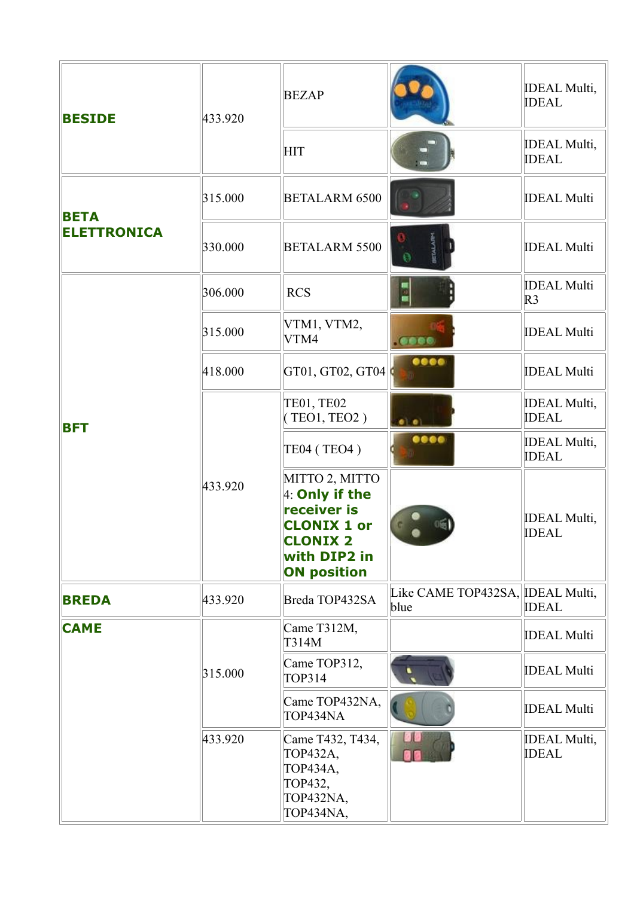| <b>BESIDE</b>      | 433.920 | <b>BEZAP</b>                                                                                                                   |                                          | <b>IDEAL Multi,</b><br><b>IDEAL</b>  |
|--------------------|---------|--------------------------------------------------------------------------------------------------------------------------------|------------------------------------------|--------------------------------------|
|                    |         | HIT                                                                                                                            |                                          | <b>IDEAL Multi,</b><br><b>IDEAL</b>  |
| <b>BETA</b>        | 315.000 | <b>BETALARM 6500</b>                                                                                                           |                                          | <b>IDEAL Multi</b>                   |
| <b>ELETTRONICA</b> | 330.000 | <b>BETALARM 5500</b>                                                                                                           | ø                                        | <b>IDEAL Multi</b>                   |
|                    | 306.000 | <b>RCS</b>                                                                                                                     | 굌                                        | <b>IDEAL Multi</b><br>R <sub>3</sub> |
|                    | 315.000 | VTM1, VTM2,<br>VTM4                                                                                                            | 0000                                     | <b>IDEAL Multi</b>                   |
| <b>BFT</b>         | 418.000 | GT01, GT02, GT04                                                                                                               | 0000                                     | <b>IDEAL Multi</b>                   |
|                    |         | TE01, TE02<br>(TEO1, TEO2)                                                                                                     |                                          | <b>IDEAL Multi,</b><br><b>IDEAL</b>  |
|                    |         | <b>TE04 (TEO4)</b>                                                                                                             | 0000                                     | <b>IDEAL Multi,</b><br><b>IDEAL</b>  |
|                    | 433.920 | MITTO 2, MITTO<br>4: Only if the<br>receiver is<br><b>CLONIX 1 or</b><br><b>CLONIX 2</b><br>with DIP2 in<br><b>ON position</b> |                                          | <b>IDEAL Multi,</b><br><b>IDEAL</b>  |
| <b>BREDA</b>       | 433.920 | Breda TOP432SA                                                                                                                 | Like CAME TOP432SA, IDEAL Multi,<br>blue | <b>IDEAL</b>                         |
| <b>CAME</b>        |         | Came T312M,<br>T314M                                                                                                           |                                          | <b>IDEAL Multi</b>                   |
|                    | 315.000 | Came TOP312,<br><b>TOP314</b>                                                                                                  |                                          | <b>IDEAL Multi</b>                   |
|                    |         | Came TOP432NA,<br>TOP434NA                                                                                                     |                                          | <b>IDEAL Multi</b>                   |
|                    | 433.920 | Came T432, T434,<br>TOP432A,<br>TOP434A,<br>TOP432,<br>TOP432NA,<br>TOP434NA,                                                  |                                          | <b>IDEAL Multi,</b><br><b>IDEAL</b>  |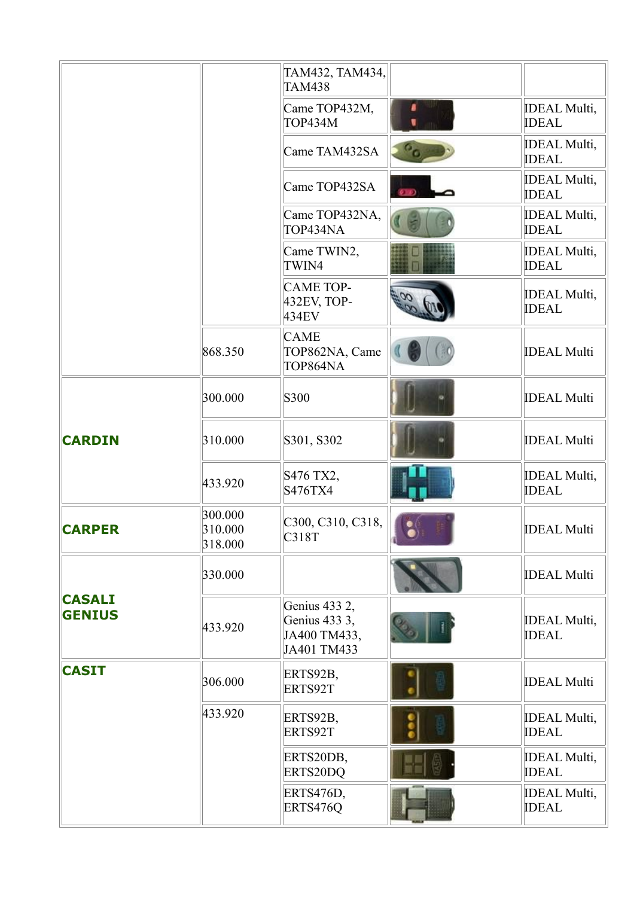|                                |                               | TAM432, TAM434,<br><b>TAM438</b>                              |   |                                     |
|--------------------------------|-------------------------------|---------------------------------------------------------------|---|-------------------------------------|
|                                |                               | Came TOP432M,<br><b>TOP434M</b>                               | a | <b>IDEAL Multi,</b><br><b>IDEAL</b> |
|                                |                               | Came TAM432SA                                                 |   | <b>IDEAL Multi,</b><br><b>IDEAL</b> |
|                                |                               | Came TOP432SA                                                 |   | <b>IDEAL Multi,</b><br><b>IDEAL</b> |
|                                |                               | Came TOP432NA,<br>TOP434NA                                    |   | <b>IDEAL Multi,</b><br><b>IDEAL</b> |
|                                |                               | Came TWIN2,<br>TWIN4                                          |   | <b>IDEAL Multi,</b><br><b>IDEAL</b> |
|                                |                               | <b>CAME TOP-</b><br>432EV, TOP-<br>434EV                      |   | <b>IDEAL Multi,</b><br><b>IDEAL</b> |
|                                | 868.350                       | <b>CAME</b><br>TOP862NA, Came<br>TOP864NA                     |   | <b>IDEAL Multi</b>                  |
|                                | 300.000                       | S300                                                          |   | <b>IDEAL Multi</b>                  |
| <b>CARDIN</b>                  | 310.000                       | S301, S302                                                    |   | <b>IDEAL Multi</b>                  |
|                                | 433.920                       | S476 TX2,<br>S476TX4                                          |   | <b>IDEAL Multi,</b><br><b>IDEAL</b> |
| <b>CARPER</b>                  | 300.000<br>310.000<br>318.000 | C300, C310, C318,<br>C318T                                    |   | <b>IDEAL Multi</b>                  |
|                                | 330.000                       |                                                               |   | <b>IDEAL Multi</b>                  |
| <b>CASALI</b><br><b>GENIUS</b> | 433.920                       | Genius 433 2,<br>Genius 433 3,<br>JA400 TM433,<br>JA401 TM433 |   | <b>IDEAL Multi,</b><br><b>IDEAL</b> |
| <b>CASIT</b>                   | 306.000                       | ERTS92B,<br>ERTS92T                                           |   | <b>IDEAL Multi</b>                  |
|                                | 433.920                       | ERTS92B,<br>ERTS92T                                           |   | <b>IDEAL Multi,</b><br><b>IDEAL</b> |
|                                |                               | ERTS20DB,<br>ERTS20DQ                                         |   | <b>IDEAL Multi,</b><br><b>IDEAL</b> |
|                                |                               | ERTS476D,<br>ERTS476Q                                         |   | <b>IDEAL Multi,</b><br><b>IDEAL</b> |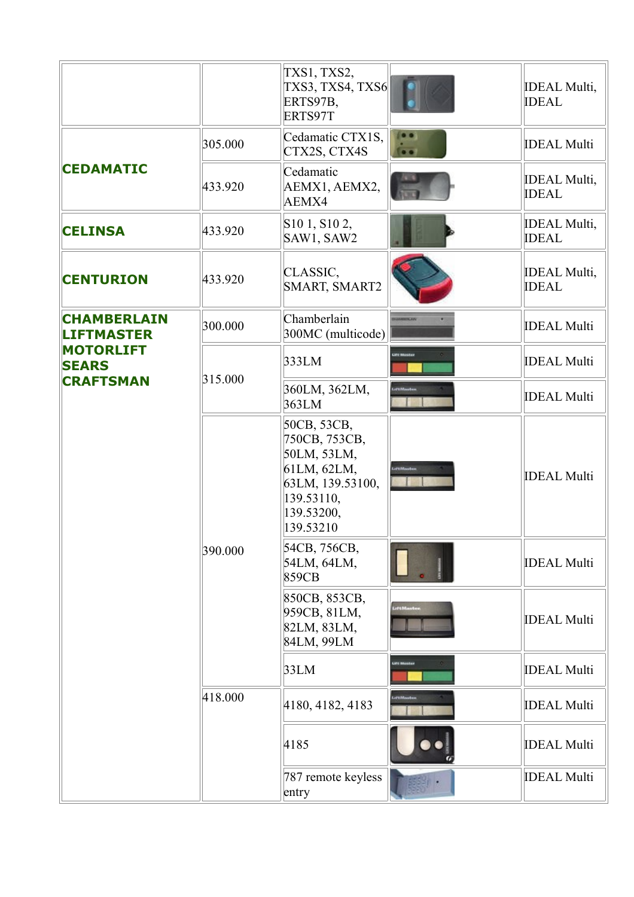|                                         |         | TXS1, TXS2,<br>TXS3, TXS4, TXS6<br>ERTS97B,<br>ERTS97T                                                                  |            | <b>IDEAL Multi,</b><br><b>IDEAL</b> |
|-----------------------------------------|---------|-------------------------------------------------------------------------------------------------------------------------|------------|-------------------------------------|
|                                         | 305.000 | Cedamatic CTX1S,<br>CTX2S, CTX4S                                                                                        |            | <b>IDEAL Multi</b>                  |
| <b>CEDAMATIC</b>                        | 433.920 | Cedamatic<br>AEMX1, AEMX2,<br>AEMX4                                                                                     |            | <b>IDEAL Multi,</b><br><b>IDEAL</b> |
| <b>CELINSA</b>                          | 433.920 | S <sub>10</sub> 1, S <sub>10</sub> 2,<br>SAW1, SAW2                                                                     |            | <b>IDEAL Multi,</b><br><b>IDEAL</b> |
| <b>CENTURION</b>                        | 433.920 | CLASSIC,<br>SMART, SMART2                                                                                               |            | <b>IDEAL Multi,</b><br><b>IDEAL</b> |
| <b>CHAMBERLAIN</b><br><b>LIFTMASTER</b> | 300.000 | Chamberlain<br>300MC (multicode)                                                                                        |            | <b>IDEAL Multi</b>                  |
| <b>MOTORLIFT</b><br><b>SEARS</b>        |         | 333LM                                                                                                                   |            | <b>IDEAL Multi</b>                  |
| <b>CRAFTSMAN</b>                        | 315.000 | 360LM, 362LM,<br>363LM                                                                                                  |            | <b>IDEAL Multi</b>                  |
|                                         |         | 50CB, 53CB,<br>750CB, 753CB,<br>50LM, 53LM,<br>61LM, 62LM,<br>63LM, 139.53100,<br>139.53110,<br>139.53200,<br>139.53210 |            | <b>IDEAL Multi</b>                  |
|                                         | 390.000 | 54CB, 756CB,<br>54LM, 64LM,<br>859CB                                                                                    |            | <b>IDEAL Multi</b>                  |
|                                         |         | 850CB, 853CB,<br>959CB, 81LM,<br>82LM, 83LM,<br>84LM, 99LM                                                              | LiftMaster | <b>IDEAL Multi</b>                  |
|                                         |         | 33LM                                                                                                                    |            | <b>IDEAL Multi</b>                  |
|                                         | 418.000 | 4180, 4182, 4183                                                                                                        |            | <b>IDEAL Multi</b>                  |
|                                         |         | 4185                                                                                                                    |            | <b>IDEAL Multi</b>                  |
|                                         |         | 787 remote keyless<br>entry                                                                                             |            | <b>IDEAL Multi</b>                  |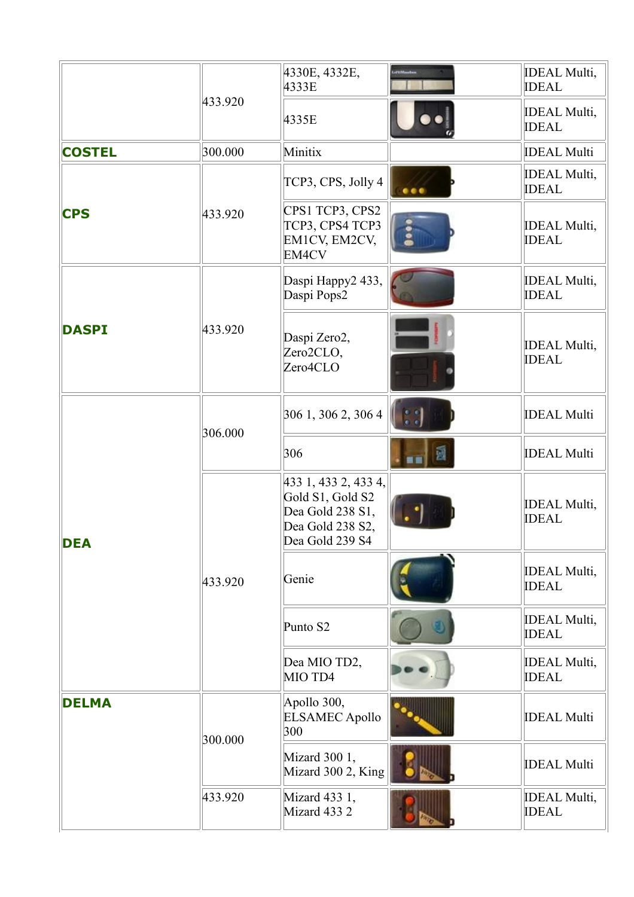|               |         | 4330E, 4332E,<br>4333E                                                                              | <b>IDEAL Multi,</b><br><b>IDEAL</b> |
|---------------|---------|-----------------------------------------------------------------------------------------------------|-------------------------------------|
|               | 433.920 | 4335E                                                                                               | <b>IDEAL Multi,</b><br><b>IDEAL</b> |
| <b>COSTEL</b> | 300.000 | Minitix                                                                                             | <b>IDEAL Multi</b>                  |
|               |         | TCP3, CPS, Jolly 4                                                                                  | <b>IDEAL Multi,</b><br><b>IDEAL</b> |
| <b>CPS</b>    | 433.920 | CPS1 TCP3, CPS2<br>TCP3, CPS4 TCP3<br>EM1CV, EM2CV,<br>EM4CV                                        | <b>IDEAL Multi,</b><br><b>IDEAL</b> |
|               |         | Daspi Happy2 433,<br>Daspi Pops2                                                                    | <b>IDEAL Multi,</b><br><b>IDEAL</b> |
| <b>DASPI</b>  | 433.920 | Daspi Zero2,<br>Zero2CLO,<br>Zero4CLO                                                               | <b>IDEAL Multi,</b><br><b>IDEAL</b> |
|               | 306.000 | 306 1, 306 2, 306 4                                                                                 | <b>IDEAL Multi</b>                  |
| <b>DEA</b>    |         | 306                                                                                                 | <b>IDEAL Multi</b>                  |
|               |         | 433 1, 433 2, 433 4,<br>Gold S1, Gold S2<br>Dea Gold 238 S1,<br>Dea Gold 238 S2,<br>Dea Gold 239 S4 | <b>IDEAL Multi,</b><br><b>IDEAL</b> |
|               | 433.920 | Genie                                                                                               | <b>IDEAL Multi,</b><br><b>IDEAL</b> |
|               |         | Punto S2                                                                                            | <b>IDEAL Multi,</b><br><b>IDEAL</b> |
|               |         | Dea MIO TD2,<br>MIO TD4                                                                             | <b>IDEAL Multi,</b><br><b>IDEAL</b> |
| <b>DELMA</b>  | 300.000 | Apollo 300,<br><b>ELSAMEC Apollo</b><br>300                                                         | <b>IDEAL Multi</b>                  |
|               |         | Mizard 300 1,<br>Mizard 300 2, King                                                                 | <b>IDEAL Multi</b>                  |
|               | 433.920 | Mizard 433 1,<br>Mizard 433 2                                                                       | <b>IDEAL Multi,</b><br><b>IDEAL</b> |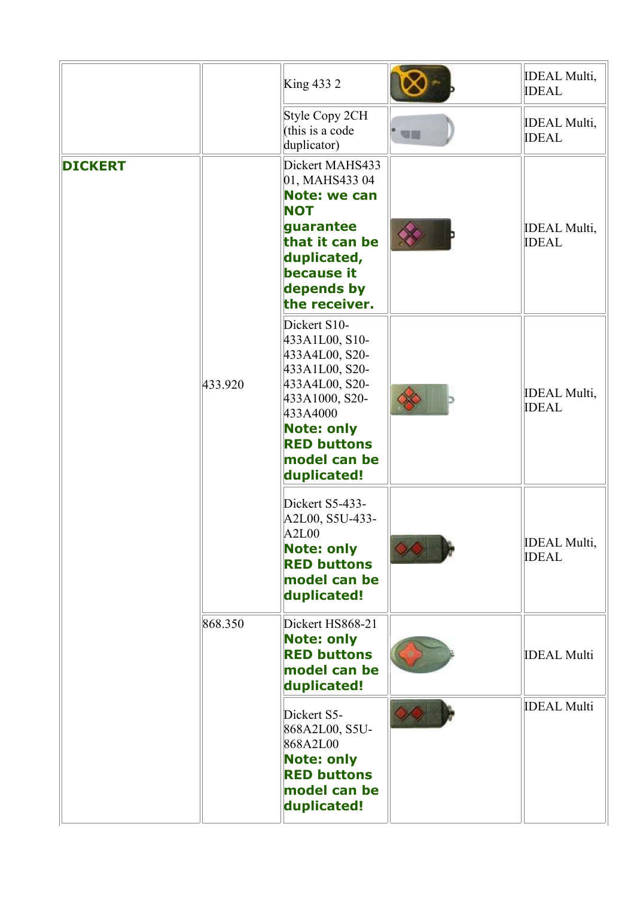|                |         | King 433 2                                                                                                                                                                                   |           | <b>IDEAL Multi,</b><br><b>IDEAL</b>  |
|----------------|---------|----------------------------------------------------------------------------------------------------------------------------------------------------------------------------------------------|-----------|--------------------------------------|
|                |         | Style Copy 2CH<br>(this is a code<br>duplicator)                                                                                                                                             | <b>SH</b> | <b>IDEAL Multi,</b><br><b>IDEAL</b>  |
| <b>DICKERT</b> |         | Dickert MAHS433<br>01, MAHS433 04<br><b>Note: we can</b><br><b>NOT</b><br>guarantee<br>that it can be<br>duplicated,<br>because it<br>depends by<br>the receiver.                            |           | <b>IDEAL Multi,</b><br><b>IDEAL</b>  |
|                | 433.920 | Dickert S10-<br>433A1L00, S10-<br>433A4L00, S20-<br>433A1L00, S20-<br>433A4L00, S20-<br>433A1000, S20-<br>433A4000<br><b>Note: only</b><br><b>RED buttons</b><br>model can be<br>duplicated! |           | <b>IDEAL Multi,</b><br><b>IDEAL</b>  |
|                |         | Dickert S5-433-<br>A2L00, S5U-433-<br>A2L00<br><b>Note: only</b><br><b>RED buttons</b><br>model can be<br>duplicated!                                                                        |           | <b>IDEAL Multi</b> ,<br><b>IDEAL</b> |
|                | 868.350 | Dickert HS868-21<br><b>Note: only</b><br><b>RED buttons</b><br>model can be<br>duplicated!                                                                                                   |           | <b>IDEAL Multi</b>                   |
|                |         | Dickert S5-<br>868A2L00, S5U-<br>868A2L00<br><b>Note: only</b><br><b>RED buttons</b><br>model can be<br>duplicated!                                                                          |           | <b>IDEAL Multi</b>                   |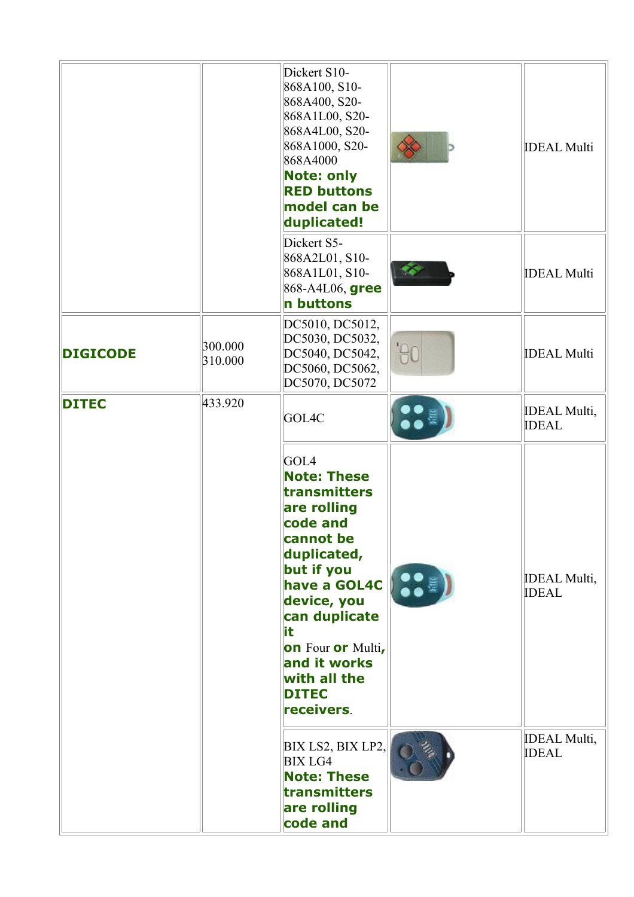|                 |                    | Dickert S10-<br>868A100, S10-<br>868A400, S20-<br>868A1L00, S20-<br>868A4L00, S20-<br>868A1000, S20-<br>868A4000<br><b>Note: only</b><br><b>RED buttons</b><br>model can be<br>duplicated!                                                               |                   | <b>IDEAL Multi</b>                  |
|-----------------|--------------------|----------------------------------------------------------------------------------------------------------------------------------------------------------------------------------------------------------------------------------------------------------|-------------------|-------------------------------------|
|                 |                    | Dickert S5-<br>868A2L01, S10-<br>868A1L01, S10-<br>868-A4L06, gree<br>n buttons                                                                                                                                                                          |                   | <b>IDEAL Multi</b>                  |
| <b>DIGICODE</b> | 300.000<br>310.000 | DC5010, DC5012,<br>DC5030, DC5032,<br>DC5040, DC5042,<br>DC5060, DC5062,<br>DC5070, DC5072                                                                                                                                                               | AC                | <b>IDEAL Multi</b>                  |
| <b>DITEC</b>    | 433.920            | GOL4C                                                                                                                                                                                                                                                    |                   | <b>IDEAL Multi,</b><br><b>IDEAL</b> |
|                 |                    | GOL4<br><b>Note: These</b><br>transmitters<br>are rolling<br>code and<br>cannot be<br>duplicated,<br>but if you<br>have a GOL4C<br>device, you<br>can duplicate<br>it<br>on Four or Multi,<br>and it works<br>with all the<br><b>DITEC</b><br>receivers. | $\bullet \bullet$ | <b>IDEAL Multi,</b><br><b>IDEAL</b> |
|                 |                    | BIX LS2, BIX LP2,<br><b>BIX LG4</b><br><b>Note: These</b><br>transmitters<br>are rolling<br>code and                                                                                                                                                     |                   | <b>IDEAL Multi,</b><br><b>IDEAL</b> |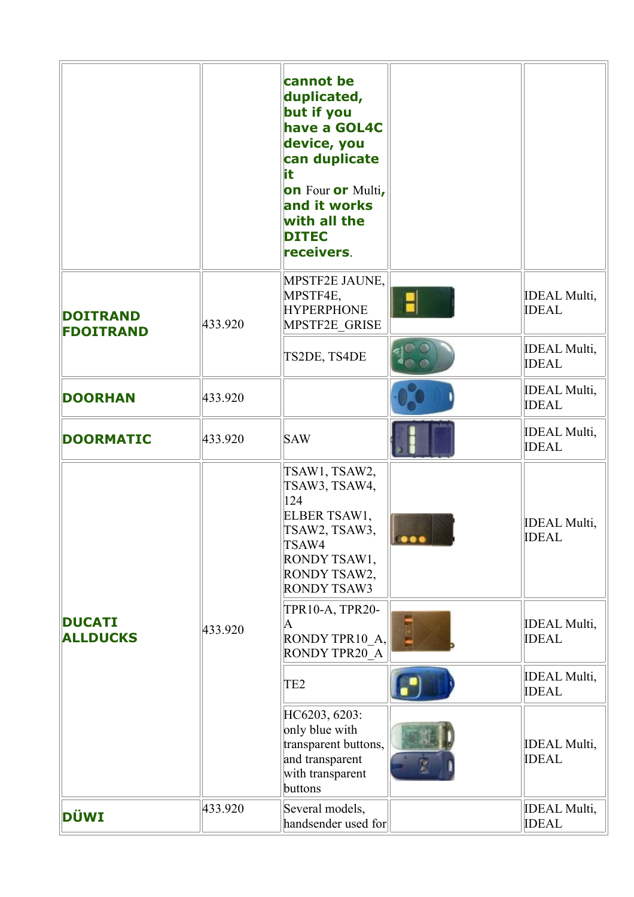|                                     |         | cannot be<br>duplicated,<br>but if you<br>have a GOL4C<br>device, you<br>can duplicate<br>it.<br>on Four or Multi,<br>and it works<br>with all the<br><b>DITEC</b><br>receivers. |              |                                      |
|-------------------------------------|---------|----------------------------------------------------------------------------------------------------------------------------------------------------------------------------------|--------------|--------------------------------------|
| <b>DOITRAND</b><br><b>FDOITRAND</b> | 433.920 | MPSTF2E JAUNE,<br>MPSTF4E,<br><b>HYPERPHONE</b><br>MPSTF2E GRISE                                                                                                                 |              | <b>IDEAL Multi</b> ,<br><b>IDEAL</b> |
|                                     |         | TS2DE, TS4DE                                                                                                                                                                     |              | <b>IDEAL Multi,</b><br><b>IDEAL</b>  |
| <b>DOORHAN</b>                      | 433.920 |                                                                                                                                                                                  |              | <b>IDEAL Multi,</b><br><b>IDEAL</b>  |
| <b>DOORMATIC</b>                    | 433.920 | <b>SAW</b>                                                                                                                                                                       |              | <b>IDEAL Multi,</b><br><b>IDEAL</b>  |
|                                     |         | TSAW1, TSAW2,<br>TSAW3, TSAW4,<br>124<br>ELBER TSAW1,<br>TSAW2, TSAW3,<br>TSAW4<br>RONDY TSAW1,<br>RONDY TSAW2,<br><b>RONDY TSAW3</b>                                            | <u>ineed</u> | <b>IDEAL Multi,</b><br><b>IDEAL</b>  |
| <b>DUCATI</b><br><b>ALLDUCKS</b>    | 433.920 | TPR10-A, TPR20-<br>$\bm{A}$<br>RONDY TPR10_A,<br>RONDY TPR20 A                                                                                                                   |              | <b>IDEAL Multi,</b><br><b>IDEAL</b>  |
|                                     |         | TE <sub>2</sub>                                                                                                                                                                  |              | <b>IDEAL Multi,</b><br><b>IDEAL</b>  |
|                                     |         | HC6203, 6203:<br>only blue with<br>transparent buttons,<br>and transparent<br>with transparent<br>buttons                                                                        |              | <b>IDEAL Multi</b> ,<br><b>IDEAL</b> |
| DÜWI                                | 433.920 | Several models,<br>handsender used for                                                                                                                                           |              | <b>IDEAL Multi,</b><br><b>IDEAL</b>  |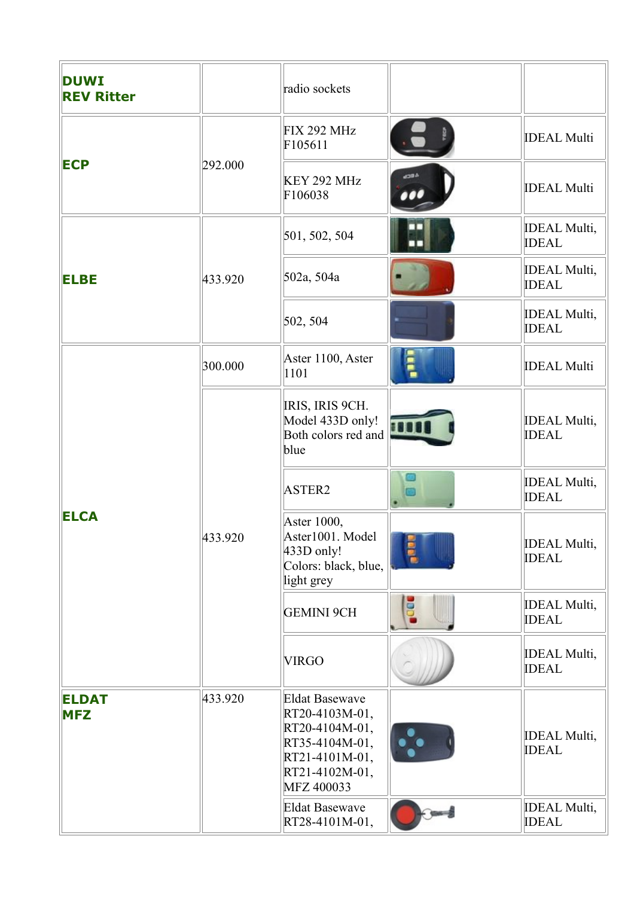| <b>DUWI</b><br><b>REV Ritter</b> |         | radio sockets                                                                                                                 |                |                                      |
|----------------------------------|---------|-------------------------------------------------------------------------------------------------------------------------------|----------------|--------------------------------------|
|                                  |         | <b>FIX 292 MHz</b><br>F105611                                                                                                 |                | <b>IDEAL Multi</b>                   |
| <b>ECP</b>                       | 292.000 | KEY 292 MHz<br>F106038                                                                                                        |                | <b>IDEAL Multi</b>                   |
|                                  |         | 501, 502, 504                                                                                                                 |                | <b>IDEAL Multi,</b><br><b>IDEAL</b>  |
| <b>ELBE</b>                      | 433.920 | 502a, 504a                                                                                                                    |                | <b>IDEAL Multi,</b><br><b>IDEAL</b>  |
|                                  |         | 502, 504                                                                                                                      |                | <b>IDEAL Multi,</b><br><b>IDEAL</b>  |
|                                  | 300.000 | Aster 1100, Aster<br>1101                                                                                                     |                | <b>IDEAL Multi</b>                   |
|                                  |         | IRIS, IRIS 9CH.<br>Model 433D only!<br>Both colors red and<br>blue                                                            |                | <b>IDEAL Multi,</b><br><b>IDEAL</b>  |
|                                  |         | ASTER2                                                                                                                        |                | <b>IDEAL Multi,</b><br><b>IDEAL</b>  |
| <b>ELCA</b>                      | 433.920 | Aster 1000,<br>Aster1001. Model<br>433D only!<br>Colors: black, blue,<br>light grey                                           | e <sup>e</sup> | <b>IDEAL Multi</b> ,<br><b>IDEAL</b> |
|                                  |         | <b>GEMINI 9CH</b>                                                                                                             | ē              | <b>IDEAL Multi,</b><br><b>IDEAL</b>  |
|                                  |         | <b>VIRGO</b>                                                                                                                  |                | <b>IDEAL Multi,</b><br><b>IDEAL</b>  |
| <b>ELDAT</b><br><b>MFZ</b>       | 433.920 | <b>Eldat Basewave</b><br>RT20-4103M-01,<br>RT20-4104M-01,<br>RT35-4104M-01,<br>RT21-4101M-01,<br>RT21-4102M-01,<br>MFZ 400033 | •'∙            | <b>IDEAL Multi,</b><br><b>IDEAL</b>  |
|                                  |         | <b>Eldat Basewave</b><br>RT28-4101M-01,                                                                                       |                | <b>IDEAL Multi,</b><br><b>IDEAL</b>  |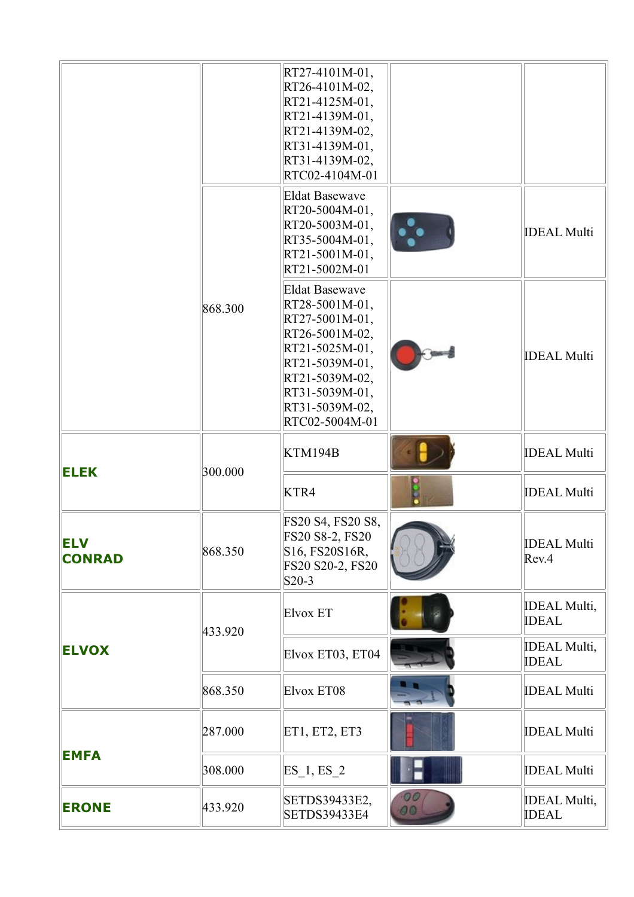|                             |         | RT27-4101M-01,<br>RT26-4101M-02,<br>RT21-4125M-01,<br>RT21-4139M-01,<br>RT21-4139M-02,<br>RT31-4139M-01,<br>RT31-4139M-02,<br>RTC02-4104M-01                                            |          |                                     |
|-----------------------------|---------|-----------------------------------------------------------------------------------------------------------------------------------------------------------------------------------------|----------|-------------------------------------|
|                             |         | <b>Eldat Basewave</b><br>RT20-5004M-01,<br>RT20-5003M-01,<br>RT35-5004M-01,<br>RT21-5001M-01,<br>RT21-5002M-01                                                                          | 20       | <b>IDEAL Multi</b>                  |
|                             | 868.300 | <b>Eldat Basewave</b><br>RT28-5001M-01,<br>RT27-5001M-01,<br>RT26-5001M-02,<br>RT21-5025M-01,<br>RT21-5039M-01,<br>RT21-5039M-02,<br>RT31-5039M-01,<br>RT31-5039M-02,<br>RTC02-5004M-01 |          | <b>IDEAL Multi</b>                  |
| <b>ELEK</b>                 | 300.000 | KTM194B                                                                                                                                                                                 |          | <b>IDEAL Multi</b>                  |
|                             |         | KTR4                                                                                                                                                                                    |          | <b>IDEAL Multi</b>                  |
| <b>ELV</b><br><b>CONRAD</b> | 868.350 | FS20 S4, FS20 S8,<br>FS20 S8-2, FS20<br>S16, FS20S16R,<br>FS20 S20-2, FS20<br>$S20-3$                                                                                                   |          | <b>IDEAL Multi</b><br>Rev.4         |
|                             | 433.920 | Elvox ET                                                                                                                                                                                |          | <b>IDEAL Multi,</b><br><b>IDEAL</b> |
| <b>ELVOX</b>                |         | Elvox ET03, ET04                                                                                                                                                                        |          | <b>IDEAL Multi,</b><br><b>IDEAL</b> |
|                             | 868.350 | Elvox ET08                                                                                                                                                                              |          | <b>IDEAL Multi</b>                  |
|                             | 287.000 | ET1, ET2, ET3                                                                                                                                                                           |          | <b>IDEAL Multi</b>                  |
| <b>EMFA</b>                 | 308.000 | $ES_1, ES_2$                                                                                                                                                                            |          | <b>IDEAL Multi</b>                  |
| <b>ERONE</b>                | 433.920 | SETDS39433E2,<br><b>SETDS39433E4</b>                                                                                                                                                    | 06<br>00 | <b>IDEAL Multi,</b><br><b>IDEAL</b> |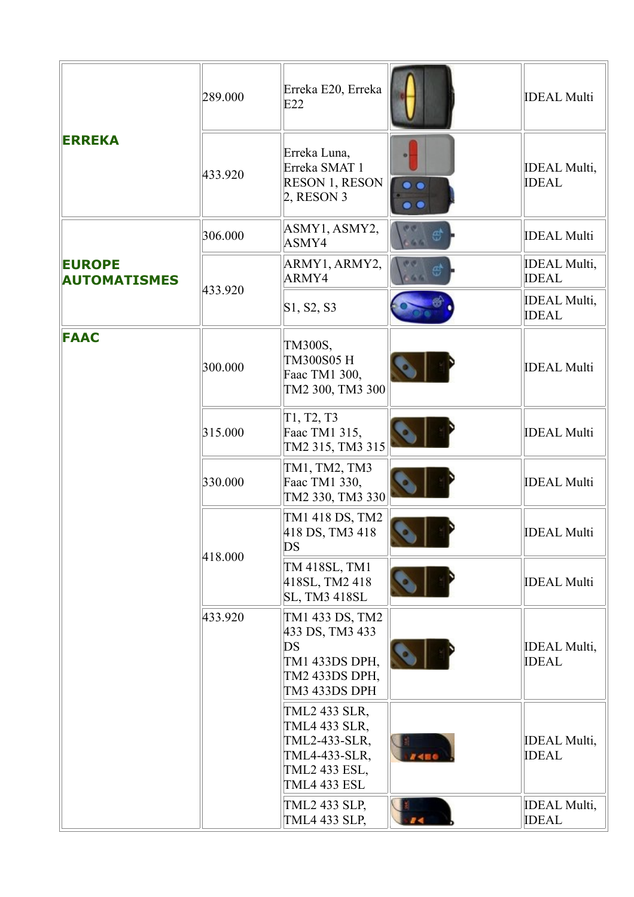| <b>ERREKA</b>                        | 289.000 | Erreka E20, Erreka<br>E22                                                                                |           | <b>IDEAL Multi</b>                  |
|--------------------------------------|---------|----------------------------------------------------------------------------------------------------------|-----------|-------------------------------------|
|                                      | 433.920 | Erreka Luna,<br>Erreka SMAT 1<br><b>RESON 1, RESON</b><br>$2,$ RESON 3                                   | $\bullet$ | <b>IDEAL Multi,</b><br><b>IDEAL</b> |
|                                      | 306.000 | ASMY1, ASMY2,<br>ASMY4                                                                                   |           | <b>IDEAL Multi</b>                  |
| <b>EUROPE</b><br><b>AUTOMATISMES</b> |         | ARMY1, ARMY2,<br>ARMY4                                                                                   |           | <b>IDEAL Multi,</b><br><b>IDEAL</b> |
|                                      | 433.920 | S1, S2, S3                                                                                               |           | <b>IDEAL Multi,</b><br><b>IDEAL</b> |
| <b>FAAC</b>                          | 300.000 | TM300S,<br>TM300S05 H<br>Faac TM1 300,<br>TM2 300, TM3 300                                               |           | <b>IDEAL Multi</b>                  |
|                                      | 315.000 | T1, T2, T3<br>Faac TM1 315,<br>TM2 315, TM3 315                                                          |           | <b>IDEAL Multi</b>                  |
|                                      | 330.000 | TM1, TM2, TM3<br>Faac TM1 330,<br>TM2 330, TM3 330                                                       |           | <b>IDEAL Multi</b>                  |
|                                      | 418.000 | TM1 418 DS, TM2<br>418 DS, TM3 418<br>DS                                                                 |           | <b>IDEAL Multi</b>                  |
|                                      |         | TM 418SL, TM1<br>418SL, TM2 418<br><b>SL, TM3 418SL</b>                                                  |           | <b>IDEAL Multi</b>                  |
|                                      | 433.920 | TM1 433 DS, TM2<br>433 DS, TM3 433<br>DS<br>TM1 433DS DPH,<br>TM2 433DS DPH,<br>TM3 433DS DPH            |           | <b>IDEAL Multi,</b><br><b>IDEAL</b> |
|                                      |         | TML2 433 SLR,<br>TML4 433 SLR,<br>TML2-433-SLR,<br>TML4-433-SLR,<br>TML2 433 ESL,<br><b>TML4 433 ESL</b> |           | <b>IDEAL Multi,</b><br><b>IDEAL</b> |
|                                      |         | <b>TML2 433 SLP,</b><br><b>TML4 433 SLP,</b>                                                             |           | <b>IDEAL Multi,</b><br><b>IDEAL</b> |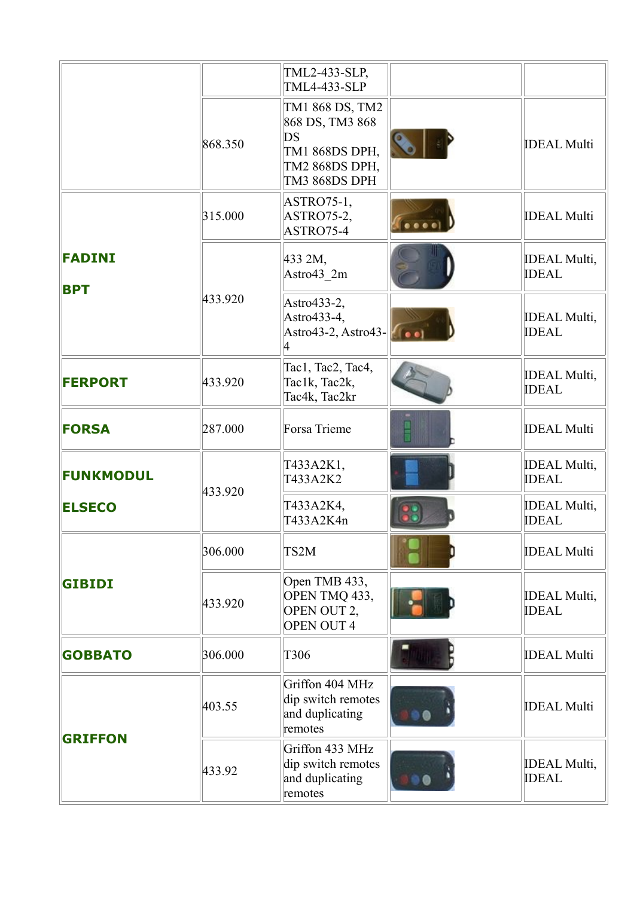|                             |         | TML2-433-SLP,<br><b>TML4-433-SLP</b>                                                          |                                     |
|-----------------------------|---------|-----------------------------------------------------------------------------------------------|-------------------------------------|
|                             | 868.350 | TM1 868 DS, TM2<br>868 DS, TM3 868<br>DS<br>TM1 868DS DPH,<br>TM2 868DS DPH,<br>TM3 868DS DPH | <b>IDEAL Multi</b>                  |
|                             | 315.000 | ASTRO75-1,<br>ASTRO75-2,<br>ASTRO75-4                                                         | <b>IDEAL Multi</b>                  |
| <b>FADINI</b><br><b>BPT</b> |         | 433 2M,<br>Astro43 2m                                                                         | <b>IDEAL Multi,</b><br><b>IDEAL</b> |
|                             | 433.920 | Astro433-2,<br>Astro433-4,<br>Astro43-2, Astro43-                                             | <b>IDEAL Multi,</b><br><b>IDEAL</b> |
| <b>FERPORT</b>              | 433.920 | Tac1, Tac2, Tac4,<br>Tac1k, Tac2k,<br>Tac4k, Tac2kr                                           | <b>IDEAL Multi,</b><br><b>IDEAL</b> |
| <b>FORSA</b>                | 287.000 | Forsa Trieme                                                                                  | <b>IDEAL Multi</b>                  |
| <b>FUNKMODUL</b>            | 433.920 | T433A2K1,<br>T433A2K2                                                                         | <b>IDEAL Multi,</b><br><b>IDEAL</b> |
| <b>ELSECO</b>               |         | T433A2K4,<br>T433A2K4n                                                                        | <b>IDEAL Multi,</b><br><b>IDEAL</b> |
|                             | 306.000 | TS2M                                                                                          | <b>IDEAL Multi</b>                  |
| <b>GIBIDI</b>               | 433.920 | Open TMB 433,<br>OPEN TMQ 433,<br>OPEN OUT 2,<br><b>OPEN OUT 4</b>                            | <b>IDEAL Multi,</b><br><b>IDEAL</b> |
| <b>GOBBATO</b>              | 306.000 | T306                                                                                          | <b>IDEAL Multi</b>                  |
|                             | 403.55  | Griffon 404 MHz<br>dip switch remotes<br>and duplicating<br>remotes                           | <b>IDEAL Multi</b>                  |
| <b>GRIFFON</b>              | 433.92  | Griffon 433 MHz<br>dip switch remotes<br>and duplicating<br>remotes                           | <b>IDEAL Multi,</b><br><b>IDEAL</b> |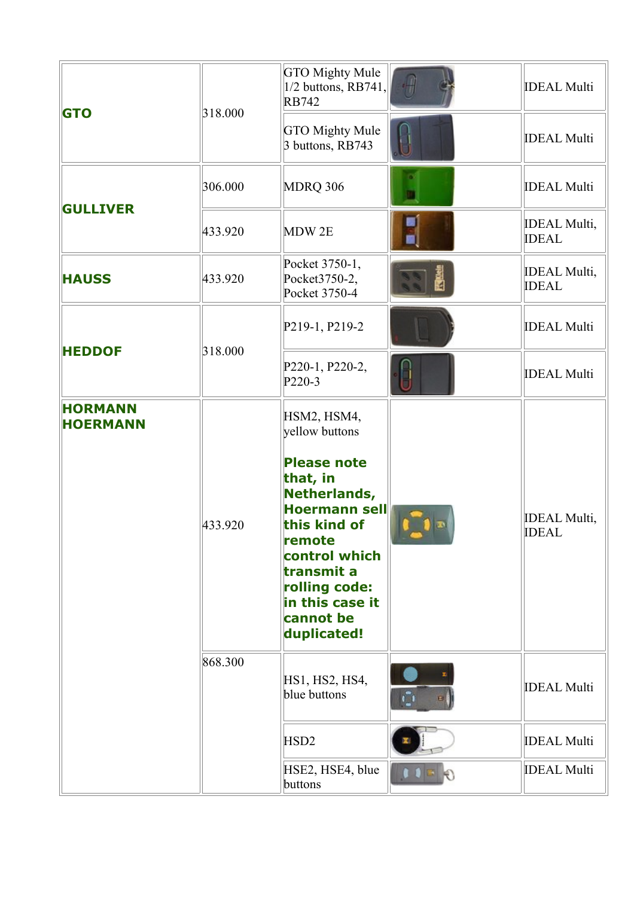| <b>GTO</b>                        |         | <b>GTO Mighty Mule</b><br>$1/2$ buttons, RB741,<br><b>RB742</b>                                                                                                                                 | <b>IDEAL Multi</b>                  |
|-----------------------------------|---------|-------------------------------------------------------------------------------------------------------------------------------------------------------------------------------------------------|-------------------------------------|
|                                   | 318.000 | <b>GTO Mighty Mule</b><br>3 buttons, RB743                                                                                                                                                      | <b>IDEAL Multi</b>                  |
|                                   | 306.000 | MDRQ 306                                                                                                                                                                                        | <b>IDEAL Multi</b>                  |
| <b>GULLIVER</b>                   | 433.920 | MDW 2E                                                                                                                                                                                          | <b>IDEAL Multi,</b><br><b>IDEAL</b> |
| <b>HAUSS</b>                      | 433.920 | Pocket 3750-1,<br>Pocket3750-2,<br>Pocket 3750-4                                                                                                                                                | <b>IDEAL Multi,</b><br><b>IDEAL</b> |
|                                   |         | P219-1, P219-2                                                                                                                                                                                  | <b>IDEAL Multi</b>                  |
| <b>HEDDOF</b>                     | 318.000 | P220-1, P220-2,<br>P220-3                                                                                                                                                                       | <b>IDEAL Multi</b>                  |
| <b>HORMANN</b><br><b>HOERMANN</b> |         | HSM2, HSM4,<br>yellow buttons                                                                                                                                                                   |                                     |
|                                   | 433.920 | <b>Please note</b><br>that, in<br>Netherlands,<br><b>Hoermann sell</b><br>this kind of<br>remote<br>control which<br>transmit a<br>rolling code:<br>in this case it<br>cannot be<br>duplicated! | <b>IDEAL Multi,</b><br><b>IDEAL</b> |
|                                   | 868.300 | HS1, HS2, HS4,<br>blue buttons                                                                                                                                                                  | <b>IDEAL Multi</b>                  |
|                                   |         | HSD <sub>2</sub>                                                                                                                                                                                | <b>IDEAL Multi</b>                  |
|                                   |         | HSE2, HSE4, blue<br>buttons                                                                                                                                                                     | <b>IDEAL Multi</b>                  |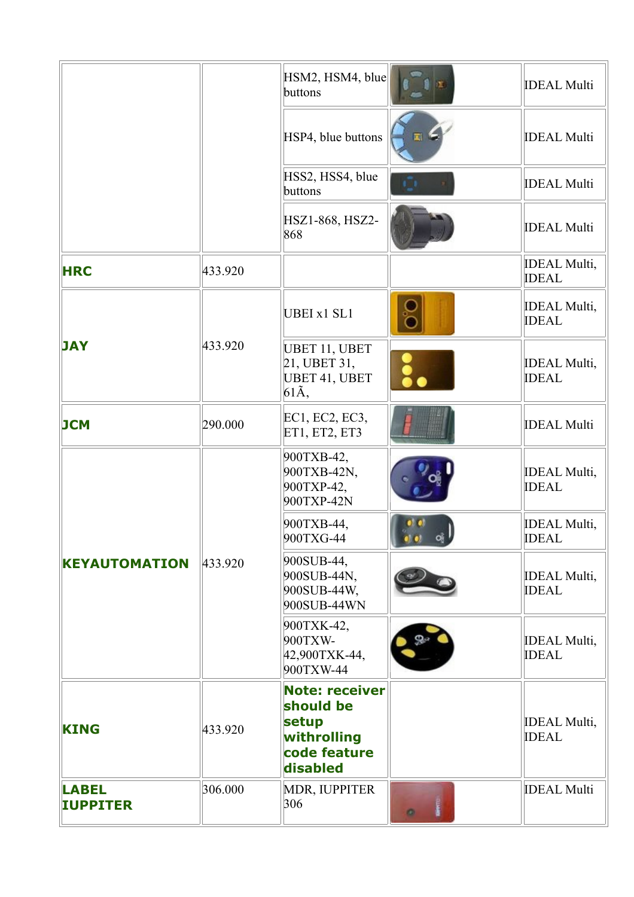|                                 |         | HSM2, HSM4, blue<br>buttons                                                            |           | <b>IDEAL Multi</b>                  |
|---------------------------------|---------|----------------------------------------------------------------------------------------|-----------|-------------------------------------|
|                                 |         | HSP4, blue buttons                                                                     |           | <b>IDEAL Multi</b>                  |
|                                 |         | HSS2, HSS4, blue<br>buttons                                                            |           | <b>IDEAL Multi</b>                  |
|                                 |         | HSZ1-868, HSZ2-<br>868                                                                 |           | <b>IDEAL Multi</b>                  |
| <b>HRC</b>                      | 433.920 |                                                                                        |           | <b>IDEAL Multi,</b><br><b>IDEAL</b> |
|                                 |         | UBEI x1 SL1                                                                            | ŏ         | <b>IDEAL Multi,</b><br><b>IDEAL</b> |
| <b>JAY</b>                      | 433.920 | UBET 11, UBET<br>21, UBET31,<br>UBET 41, UBET<br>61Ã,                                  |           | <b>IDEAL Multi,</b><br><b>IDEAL</b> |
| <b>JCM</b>                      | 290.000 | EC1, EC2, EC3,<br>ET1, ET2, ET3                                                        |           | <b>IDEAL Multi</b>                  |
|                                 |         | 900TXB-42,<br>900TXB-42N,<br>900TXP-42,<br>900TXP-42N                                  |           | <b>IDEAL Multi,</b><br><b>IDEAL</b> |
|                                 |         | 900TXB-44,<br>900TXG-44                                                                |           | <b>IDEAL Multi,</b><br><b>IDEAL</b> |
| <b>KEYAUTOMATION</b>            | 433.920 | 900SUB-44,<br>900SUB-44N,<br>900SUB-44W,<br>900SUB-44WN                                |           | <b>IDEAL Multi,</b><br><b>IDEAL</b> |
|                                 |         | 900TXK-42,<br>900TXW-<br>42,900TXK-44,<br>900TXW-44                                    |           | <b>IDEAL Multi,</b><br><b>IDEAL</b> |
| <b>KING</b>                     | 433.920 | <b>Note: receiver</b><br>should be<br>setup<br>withrolling<br>code feature<br>disabled |           | <b>IDEAL Multi,</b><br><b>IDEAL</b> |
| <b>LABEL</b><br><b>IUPPITER</b> | 306.000 | MDR, IUPPITER<br>306                                                                   | $\bullet$ | <b>IDEAL Multi</b>                  |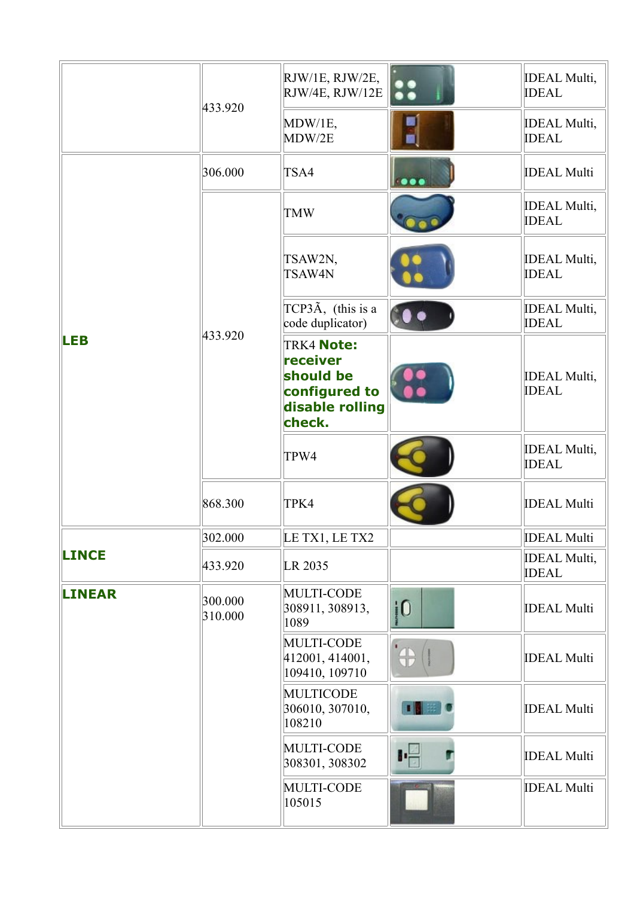|               | 433.920            | RJW/1E, RJW/2E,<br>RJW/4E, RJW/12E                                                       |                         | <b>IDEAL Multi,</b><br><b>IDEAL</b> |
|---------------|--------------------|------------------------------------------------------------------------------------------|-------------------------|-------------------------------------|
|               |                    | MDW/1E,<br>MDW/2E                                                                        |                         | <b>IDEAL Multi,</b><br><b>IDEAL</b> |
|               | 306.000            | TSA4                                                                                     | $\bullet\bullet\bullet$ | <b>IDEAL Multi</b>                  |
|               |                    | <b>TMW</b>                                                                               |                         | <b>IDEAL Multi,</b><br><b>IDEAL</b> |
|               |                    | TSAW2N,<br>TSAW4N                                                                        |                         | <b>IDEAL Multi,</b><br><b>IDEAL</b> |
|               |                    | TCP3 $\tilde{A}$ , (this is a<br>code duplicator)                                        |                         | <b>IDEAL Multi,</b><br><b>IDEAL</b> |
| <b>LEB</b>    | 433.920            | <b>TRK4 Note:</b><br>receiver<br>should be<br>configured to<br>disable rolling<br>check. |                         | <b>IDEAL Multi,</b><br><b>IDEAL</b> |
|               |                    | TPW4                                                                                     |                         | <b>IDEAL Multi,</b><br><b>IDEAL</b> |
|               | 868.300            | TPK4                                                                                     |                         | <b>IDEAL Multi</b>                  |
|               | 302.000            | LE TX1, LE TX2                                                                           |                         | <b>IDEAL Multi</b>                  |
| <b>LINCE</b>  | 433.920            | LR 2035                                                                                  |                         | <b>IDEAL Multi,</b><br><b>IDEAL</b> |
| <b>LINEAR</b> | 300.000<br>310.000 | <b>MULTI-CODE</b><br>308911, 308913,<br>1089                                             | $\overline{10}$         | <b>IDEAL Multi</b>                  |
|               |                    | <b>MULTI-CODE</b><br>412001, 414001,<br>109410, 109710                                   | $\bigoplus$ $($         | <b>IDEAL Multi</b>                  |
|               |                    | <b>MULTICODE</b><br>306010, 307010,<br>108210                                            | пы                      | <b>IDEAL Multi</b>                  |
|               |                    | <b>MULTI-CODE</b><br>308301, 308302                                                      | 叶                       | <b>IDEAL Multi</b>                  |
|               |                    | MULTI-CODE<br>105015                                                                     |                         | <b>IDEAL Multi</b>                  |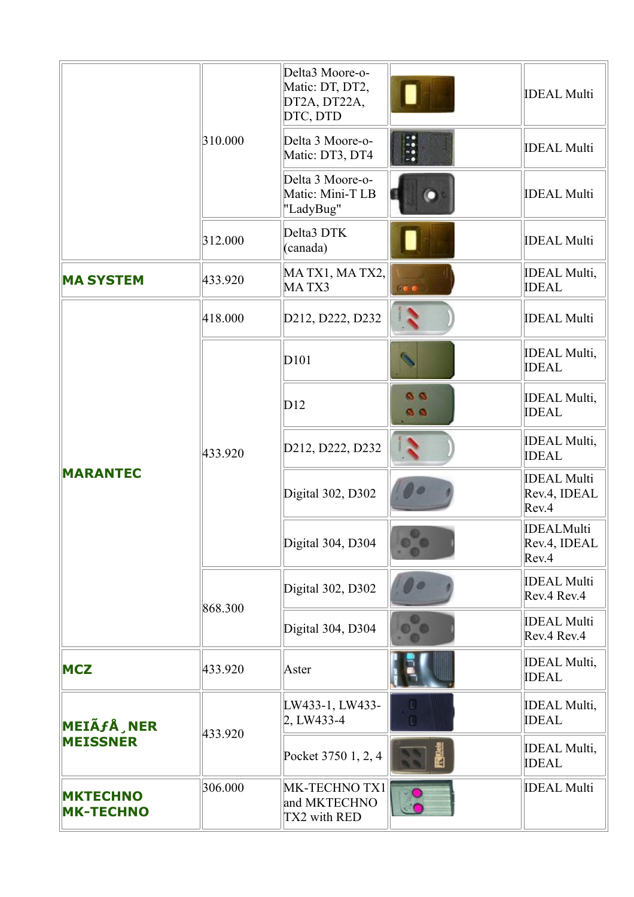|                                     |         | Delta3 Moore-o-<br>Matic: DT, DT2,<br>DT2A, DT22A,<br>DTC, DTD |                        | <b>IDEAL Multi</b>                          |
|-------------------------------------|---------|----------------------------------------------------------------|------------------------|---------------------------------------------|
|                                     | 310.000 | Delta 3 Moore-o-<br>Matic: DT3, DT4                            | $\ddot{\cdot}$         | <b>IDEAL Multi</b>                          |
|                                     |         | Delta 3 Moore-o-<br>Matic: Mini-T LB<br>"LadyBug"              |                        | <b>IDEAL Multi</b>                          |
|                                     | 312.000 | Delta3 DTK<br>(canada)                                         |                        | <b>IDEAL Multi</b>                          |
| <b>MA SYSTEM</b>                    | 433.920 | MA TX1, MA TX2,<br>MATX3                                       |                        | <b>IDEAL Multi,</b><br><b>IDEAL</b>         |
|                                     | 418.000 | D212, D222, D232                                               |                        | <b>IDEAL Multi</b>                          |
| <b>MARANTEC</b>                     | 433.920 | D <sub>101</sub>                                               |                        | <b>IDEAL Multi,</b><br><b>IDEAL</b>         |
|                                     |         | D12                                                            | $\bullet$<br><b>BB</b> | <b>IDEAL Multi,</b><br><b>IDEAL</b>         |
|                                     |         | D212, D222, D232                                               |                        | <b>IDEAL Multi,</b><br><b>IDEAL</b>         |
|                                     |         | Digital 302, D302                                              |                        | <b>IDEAL Multi</b><br>Rev.4, IDEAL<br>Rev.4 |
|                                     |         | Digital 304, D304                                              |                        | <b>IDEALMulti</b><br>Rev.4, IDEAL<br>Rev.4  |
|                                     | 868.300 | Digital 302, D302                                              |                        | <b>IDEAL Multi</b><br>Rev.4 Rev.4           |
|                                     |         | Digital 304, D304                                              |                        | <b>IDEAL Multi</b><br>Rev.4 Rev.4           |
| <b>MCZ</b>                          | 433.920 | Aster                                                          |                        | <b>IDEAL Multi,</b><br><b>IDEAL</b>         |
| MEIÃ <i>f</i> Å, NER                |         | LW433-1, LW433-<br>2, LW433-4                                  |                        | <b>IDEAL Multi,</b><br><b>IDEAL</b>         |
| <b>MEISSNER</b>                     | 433.920 | Pocket 3750 1, 2, 4                                            |                        | <b>IDEAL Multi,</b><br><b>IDEAL</b>         |
| <b>MKTECHNO</b><br><b>MK-TECHNO</b> | 306.000 | MK-TECHNO TX1<br>and MKTECHNO<br>TX2 with RED                  |                        | <b>IDEAL Multi</b>                          |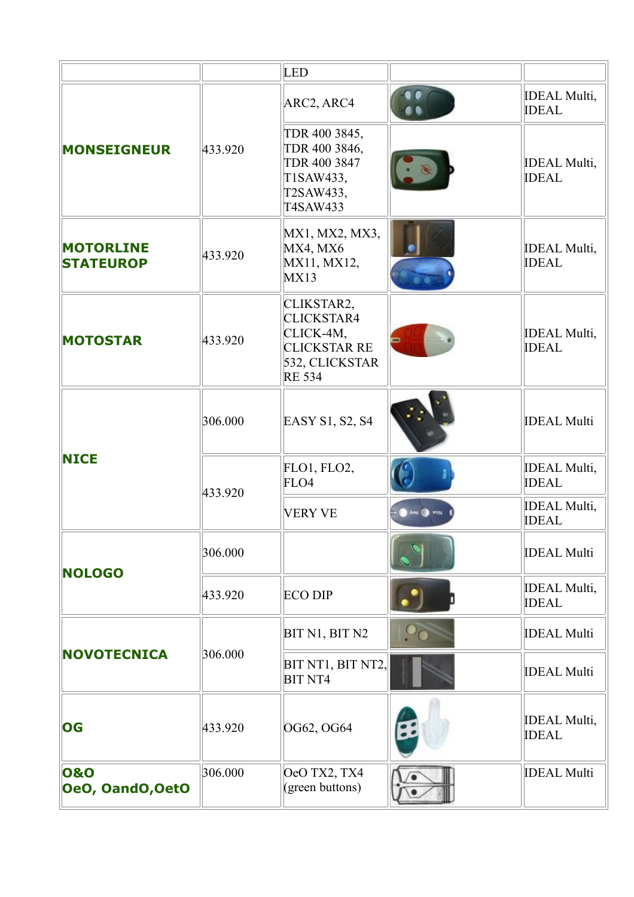|                                      |         | <b>LED</b>                                                                                             |                            |                                      |
|--------------------------------------|---------|--------------------------------------------------------------------------------------------------------|----------------------------|--------------------------------------|
|                                      | 433.920 | ARC2, ARC4                                                                                             |                            | <b>IDEAL Multi</b> ,<br><b>IDEAL</b> |
| <b>MONSEIGNEUR</b>                   |         | TDR 400 3845,<br>TDR 400 3846,<br>TDR 400 3847<br>T1SAW433,<br>T2SAW433,<br>T4SAW433                   |                            | <b>IDEAL Multi,</b><br><b>IDEAL</b>  |
| <b>MOTORLINE</b><br><b>STATEUROP</b> | 433.920 | MX1, MX2, MX3,<br>MX4, MX6<br>MX11, MX12,<br>MX13                                                      |                            | <b>IDEAL Multi,</b><br><b>IDEAL</b>  |
| <b>MOTOSTAR</b>                      | 433.920 | CLIKSTAR2,<br><b>CLICKSTAR4</b><br>CLICK-4M,<br><b>CLICKSTAR RE</b><br>532, CLICKSTAR<br><b>RE 534</b> |                            | <b>IDEAL Multi,</b><br><b>IDEAL</b>  |
| <b>NICE</b>                          | 306.000 | EASY S1, S2, S4                                                                                        |                            | <b>IDEAL Multi</b>                   |
|                                      | 433.920 | FLO1, FLO2,<br>FLO4                                                                                    |                            | <b>IDEAL Multi,</b><br><b>IDEAL</b>  |
|                                      |         | <b>VERY VE</b>                                                                                         | $\bullet$ AM $\bullet$ MIN | <b>IDEAL Multi,</b><br><b>IDEAL</b>  |
| <b>NOLOGO</b>                        | 306.000 |                                                                                                        |                            | <b>IDEAL Multi</b>                   |
|                                      | 433.920 | <b>ECO DIP</b>                                                                                         |                            | <b>IDEAL Multi,</b><br><b>IDEAL</b>  |
|                                      |         | BIT N1, BIT N2                                                                                         | $\rm ^{O}O$                | <b>IDEAL Multi</b>                   |
| <b>NOVOTECNICA</b>                   | 306.000 | BIT NT1, BIT NT2,<br><b>BIT NT4</b>                                                                    |                            | <b>IDEAL Multi</b>                   |
| OG                                   | 433.920 | OG62, OG64                                                                                             |                            | <b>IDEAL Multi,</b><br><b>IDEAL</b>  |
| 0&0<br>OeO, OandO, OetO              | 306.000 | OeO TX2, TX4<br>(green buttons)                                                                        |                            | <b>IDEAL Multi</b>                   |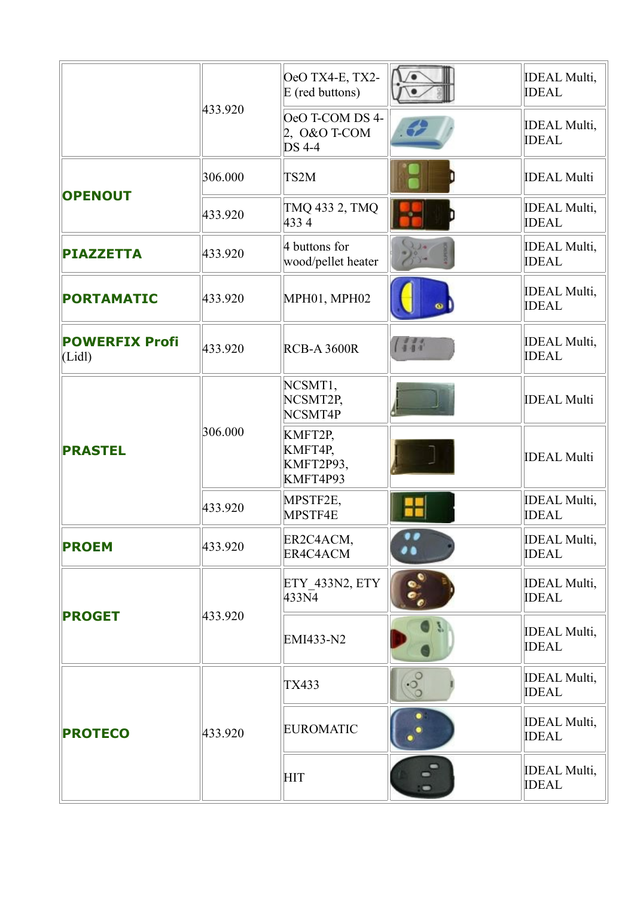|                                | 433.920 | OeO TX4-E, TX2-<br>E (red buttons)                 |                       | <b>IDEAL Multi,</b><br><b>IDEAL</b>  |
|--------------------------------|---------|----------------------------------------------------|-----------------------|--------------------------------------|
|                                |         | OeO T-COM DS 4-<br>$2,0&0$ T-COM<br><b>DS</b> 4-4  |                       | <b>IDEAL Multi,</b><br><b>IDEAL</b>  |
|                                | 306.000 | TS <sub>2</sub> M                                  |                       | <b>IDEAL Multi</b>                   |
| <b>OPENOUT</b>                 | 433.920 | TMQ 433 2, TMQ<br>4334                             |                       | <b>IDEAL Multi,</b><br><b>IDEAL</b>  |
| <b>PIAZZETTA</b>               | 433.920 | 4 buttons for<br>wood/pellet heater                |                       | <b>IDEAL Multi</b> ,<br><b>IDEAL</b> |
| <b>PORTAMATIC</b>              | 433.920 | MPH01, MPH02                                       |                       | <b>IDEAL Multi</b> ,<br><b>IDEAL</b> |
| <b>POWERFIX Profi</b><br>(Lid) | 433.920 | <b>RCB-A 3600R</b>                                 |                       | <b>IDEAL Multi,</b><br><b>IDEAL</b>  |
| <b>PRASTEL</b>                 | 306.000 | NCSMT1,<br>NCSMT2P,<br>NCSMT4P                     |                       | <b>IDEAL Multi</b>                   |
|                                |         | KMFT2P,<br>KMFT4P,<br><b>KMFT2P93,</b><br>KMFT4P93 |                       | <b>IDEAL Multi</b>                   |
|                                | 433.920 | MPSTF2E,<br>MPSTF4E                                |                       | <b>IDEAL Multi,</b><br><b>IDEAL</b>  |
| <b>PROEM</b>                   | 433.920 | ER2C4ACM,<br>ER4C4ACM                              |                       | <b>IDEAL Multi</b> ,<br><b>IDEAL</b> |
|                                |         | ETY_433N2, ETY<br>433N4                            | $\bullet^\circ_\circ$ | <b>IDEAL Multi,</b><br><b>IDEAL</b>  |
| <b>PROGET</b>                  | 433.920 | EMI433-N2                                          |                       | <b>IDEAL Multi,</b><br><b>IDEAL</b>  |
| <b>PROTECO</b>                 |         | <b>TX433</b>                                       | $\cdot \frac{5}{3}$   | <b>IDEAL Multi,</b><br><b>IDEAL</b>  |
|                                | 433.920 | <b>EUROMATIC</b>                                   |                       | <b>IDEAL Multi,</b><br><b>IDEAL</b>  |
|                                |         | <b>HIT</b>                                         |                       | <b>IDEAL Multi,</b><br><b>IDEAL</b>  |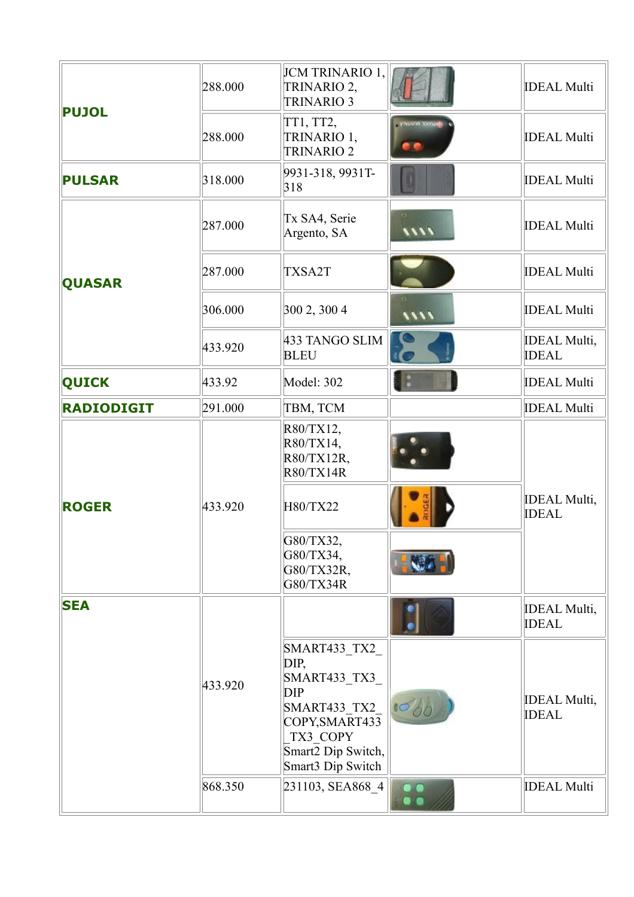| <b>PUJOL</b>      | 288.000 | JCM TRINARIO 1,<br>TRINARIO 2,<br><b>TRINARIO 3</b>                                                                                          |                           | <b>IDEAL Multi</b>                  |
|-------------------|---------|----------------------------------------------------------------------------------------------------------------------------------------------|---------------------------|-------------------------------------|
|                   | 288.000 | TT1, TT2,<br>TRINARIO 1,<br><b>TRINARIO 2</b>                                                                                                |                           | <b>IDEAL Multi</b>                  |
| <b>PULSAR</b>     | 318.000 | 9931-318, 9931T-<br>318                                                                                                                      |                           | <b>IDEAL Multi</b>                  |
|                   | 287.000 | Tx SA4, Serie<br>Argento, SA                                                                                                                 | 1111                      | <b>IDEAL Multi</b>                  |
| <b>QUASAR</b>     | 287.000 | TXSA2T                                                                                                                                       |                           | <b>IDEAL Multi</b>                  |
|                   | 306.000 | 300 2, 300 4                                                                                                                                 | 1111                      | <b>IDEAL Multi</b>                  |
|                   | 433.920 | 433 TANGO SLIM<br><b>BLEU</b>                                                                                                                |                           | <b>IDEAL Multi,</b><br><b>IDEAL</b> |
| <b>QUICK</b>      | 433.92  | Model: 302                                                                                                                                   |                           | <b>IDEAL Multi</b>                  |
| <b>RADIODIGIT</b> | 291.000 | TBM, TCM                                                                                                                                     |                           | <b>IDEAL Multi</b>                  |
|                   |         | R80/TX12,<br>R80/TX14,<br>R80/TX12R,<br><b>R80/TX14R</b>                                                                                     |                           |                                     |
| <b>ROGER</b>      | 433.920 | H80/TX22                                                                                                                                     |                           | <b>IDEAL Multi,</b><br><b>IDEAL</b> |
|                   |         | G80/TX32,<br>G80/TX34,<br>G80/TX32R,<br>G80/TX34R                                                                                            |                           |                                     |
| <b>SEA</b>        |         |                                                                                                                                              |                           | <b>IDEAL Multi,</b><br><b>IDEAL</b> |
|                   | 433.920 | SMART433 TX2<br>DIP,<br>SMART433 TX3<br><b>DIP</b><br>SMART433_TX2_<br>COPY, SMART433<br>TX3 COPY<br>Smart2 Dip Switch,<br>Smart3 Dip Switch |                           | <b>IDEAL Multi,</b><br><b>IDEAL</b> |
|                   | 868.350 | 231103, SEA868 4                                                                                                                             | $\frac{\bullet}{\bullet}$ | <b>IDEAL Multi</b>                  |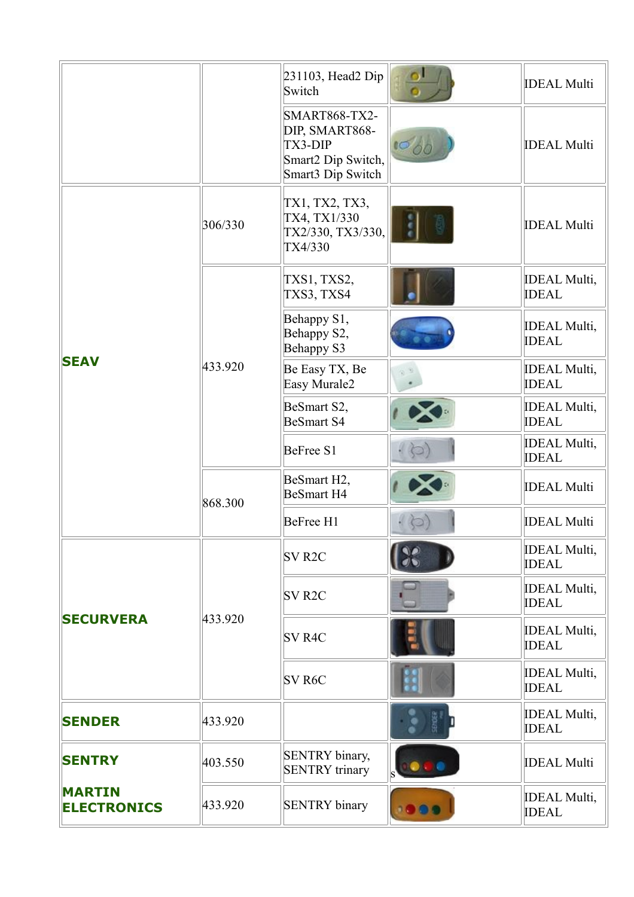|                                     |         | 231103, Head2 Dip<br>Switch                                                                         |               | <b>IDEAL Multi</b>                  |
|-------------------------------------|---------|-----------------------------------------------------------------------------------------------------|---------------|-------------------------------------|
|                                     |         | <b>SMART868-TX2-</b><br>DIP, SMART868-<br><b>TX3-DIP</b><br>Smart2 Dip Switch,<br>Smart3 Dip Switch |               | <b>IDEAL Multi</b>                  |
|                                     | 306/330 | TX1, TX2, TX3,<br>TX4, TX1/330<br>TX2/330, TX3/330,<br>TX4/330                                      |               | <b>IDEAL Multi</b>                  |
|                                     |         | TXS1, TXS2,<br>TXS3, TXS4                                                                           |               | <b>IDEAL Multi,</b><br><b>IDEAL</b> |
|                                     |         | Behappy S1,<br>Behappy S2,<br>Behappy S3                                                            |               | <b>IDEAL Multi,</b><br><b>IDEAL</b> |
| <b>SEAV</b>                         | 433.920 | Be Easy TX, Be<br>Easy Murale2                                                                      |               | <b>IDEAL Multi,</b><br><b>IDEAL</b> |
|                                     |         | BeSmart S2,<br><b>BeSmart S4</b>                                                                    |               | <b>IDEAL Multi,</b><br><b>IDEAL</b> |
|                                     |         | BeFree S1                                                                                           |               | <b>IDEAL Multi,</b><br><b>IDEAL</b> |
|                                     | 868.300 | BeSmart H <sub>2</sub> ,<br><b>BeSmart H4</b>                                                       |               | <b>IDEAL Multi</b>                  |
|                                     |         | BeFree H1                                                                                           |               | <b>IDEAL Multi</b>                  |
|                                     |         | <b>SV R2C</b>                                                                                       | $\frac{1}{2}$ | <b>IDEAL Multi,</b><br><b>IDEAL</b> |
|                                     |         | <b>SV R2C</b>                                                                                       |               | <b>IDEAL Multi,</b><br><b>IDEAL</b> |
| <b>SECURVERA</b>                    | 433.920 | <b>SV R4C</b>                                                                                       |               | <b>IDEAL Multi,</b><br><b>IDEAL</b> |
|                                     |         | <b>SV R6C</b>                                                                                       |               | <b>IDEAL Multi,</b><br><b>IDEAL</b> |
| <b>SENDER</b>                       | 433.920 |                                                                                                     |               | <b>IDEAL Multi,</b><br><b>IDEAL</b> |
| <b>SENTRY</b>                       | 403.550 | <b>SENTRY</b> binary,<br><b>SENTRY</b> trinary                                                      |               | <b>IDEAL Multi</b>                  |
| <b>MARTIN</b><br><b>ELECTRONICS</b> | 433.920 | <b>SENTRY</b> binary                                                                                |               | <b>IDEAL Multi,</b><br><b>IDEAL</b> |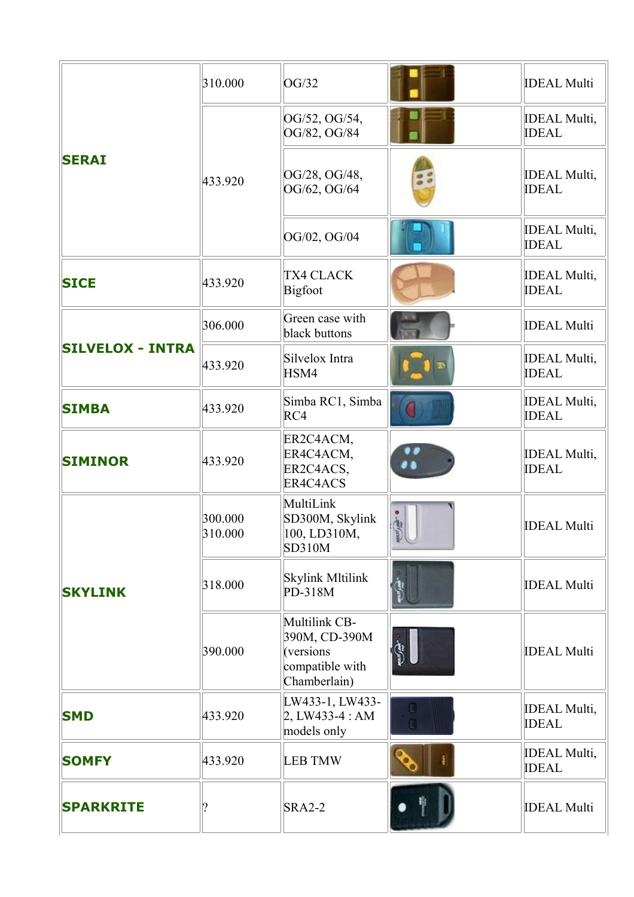| <b>SERAI</b>            | 310.000            | OG/32                                                                          |                            | <b>IDEAL Multi</b>                   |
|-------------------------|--------------------|--------------------------------------------------------------------------------|----------------------------|--------------------------------------|
|                         |                    | OG/52, OG/54,<br>OG/82, OG/84                                                  |                            | <b>IDEAL Multi,</b><br><b>IDEAL</b>  |
|                         | 433.920            | OG/28, OG/48,<br>OG/62, OG/64                                                  |                            | <b>IDEAL Multi,</b><br><b>IDEAL</b>  |
|                         |                    | OG/02, OG/04                                                                   |                            | <b>IDEAL Multi,</b><br><b>IDEAL</b>  |
| <b>SICE</b>             | 433.920            | <b>TX4 CLACK</b><br><b>Bigfoot</b>                                             |                            | <b>IDEAL Multi,</b><br><b>IDEAL</b>  |
|                         | 306.000            | Green case with<br>black buttons                                               |                            | <b>IDEAL Multi</b>                   |
| <b>SILVELOX - INTRA</b> | 433.920            | Silvelox Intra<br>HSM4                                                         |                            | <b>IDEAL Multi,</b><br><b>IDEAL</b>  |
| <b>SIMBA</b>            | 433.920            | Simba RC1, Simba<br>RC4                                                        |                            | <b>IDEAL Multi,</b><br><b>IDEAL</b>  |
| <b>SIMINOR</b>          | 433.920            | ER2C4ACM,<br>ER4C4ACM,<br>ER2C4ACS,<br>ER4C4ACS                                |                            | <b>IDEAL Multi,</b><br><b>IDEAL</b>  |
|                         | 300.000<br>310.000 | MultiLink<br>SD300M, Skylink<br>[100, LD310M,<br><b>SD310M</b>                 | $\frac{1}{2}$<br><b>PU</b> | <b>IDEAL Multi</b>                   |
| <b>SKYLINK</b>          | 318.000            | <b>Skylink Mltilink</b><br>PD-318M                                             |                            | <b>IDEAL Multi</b>                   |
|                         | 390.000            | Multilink CB-<br>390M, CD-390M<br>(versions<br>compatible with<br>Chamberlain) |                            | <b>IDEAL Multi</b>                   |
| <b>SMD</b>              | 433.920            | LW433-1, LW433-<br>$2, LW433-4:AM$<br>models only                              |                            | <b>IDEAL Multi,</b><br><b>IDEAL</b>  |
| <b>SOMFY</b>            | 433.920            | <b>LEB TMW</b>                                                                 |                            | <b>IDEAL Multi</b> ,<br><b>IDEAL</b> |
| <b>SPARKRITE</b>        | ?                  | <b>SRA2-2</b>                                                                  |                            | <b>IDEAL Multi</b>                   |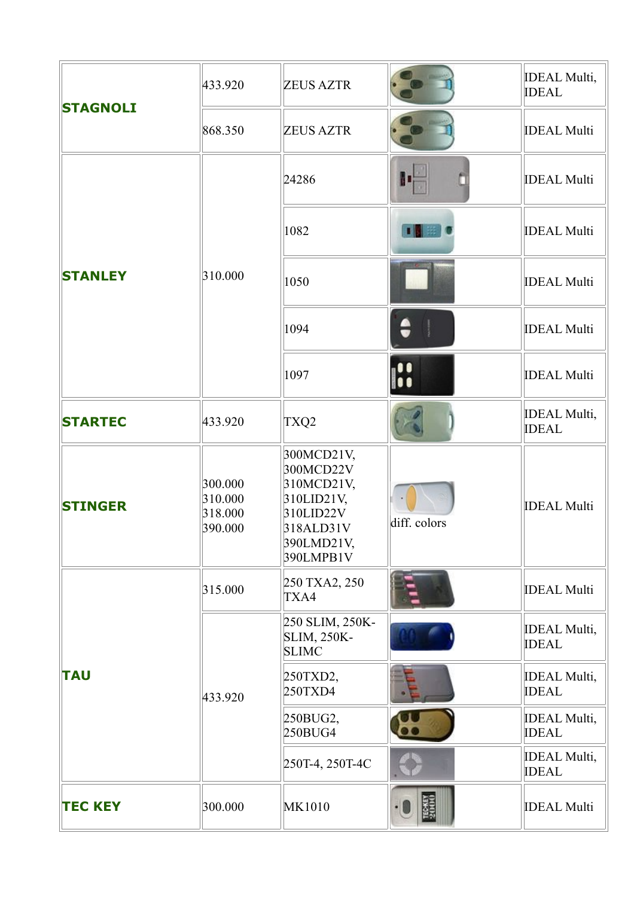| <b>STAGNOLI</b> | 433.920                                  | <b>ZEUS AZTR</b>                                                                                         |              | <b>IDEAL Multi</b> ,<br><b>IDEAL</b>                                                                   |
|-----------------|------------------------------------------|----------------------------------------------------------------------------------------------------------|--------------|--------------------------------------------------------------------------------------------------------|
|                 | 868.350                                  | <b>ZEUS AZTR</b>                                                                                         |              | <b>IDEAL Multi</b>                                                                                     |
|                 |                                          | 24286                                                                                                    |              | <b>IDEAL Multi</b>                                                                                     |
|                 |                                          | 1082                                                                                                     |              | <b>IDEAL Multi</b>                                                                                     |
| <b>STANLEY</b>  | 310.000                                  | 1050                                                                                                     |              | <b>IDEAL Multi</b><br><b>IDEAL Multi</b><br><b>IDEAL Multi</b><br><b>IDEAL Multi</b> ,<br><b>IDEAL</b> |
|                 |                                          | 1094                                                                                                     | $\bullet$    |                                                                                                        |
|                 |                                          | 1097                                                                                                     | H            |                                                                                                        |
| <b>STARTEC</b>  | 433.920                                  | TXQ2                                                                                                     |              |                                                                                                        |
| <b>STINGER</b>  | 300.000<br>310.000<br>318.000<br>390.000 | 300MCD21V,<br>300MCD22V<br>310MCD21V,<br>310LID21V,<br>310LID22V<br>318ALD31V<br>390LMD21V,<br>390LMPB1V | diff. colors | <b>IDEAL Multi</b>                                                                                     |
|                 | 315.000                                  | 250 TXA2, 250<br>TXA4                                                                                    |              | <b>IDEAL Multi</b>                                                                                     |
| <b>TAU</b>      |                                          | 250 SLIM, 250K-<br><b>SLIM, 250K-</b><br><b>SLIMC</b>                                                    |              | <b>IDEAL Multi,</b><br><b>IDEAL</b>                                                                    |
|                 | 433.920                                  | 250TXD2,<br>250TXD4                                                                                      |              | <b>IDEAL Multi</b> ,<br><b>IDEAL</b>                                                                   |
|                 |                                          | $250$ BUG2,<br>$250$ BUG4                                                                                |              | <b>IDEAL Multi</b> ,<br><b>IDEAL</b>                                                                   |
|                 |                                          | 250T-4, 250T-4C                                                                                          |              | <b>IDEAL Multi</b> ,<br><b>IDEAL</b>                                                                   |
| <b>TEC KEY</b>  | 300.000                                  | <b>MK1010</b>                                                                                            |              | <b>IDEAL Multi</b>                                                                                     |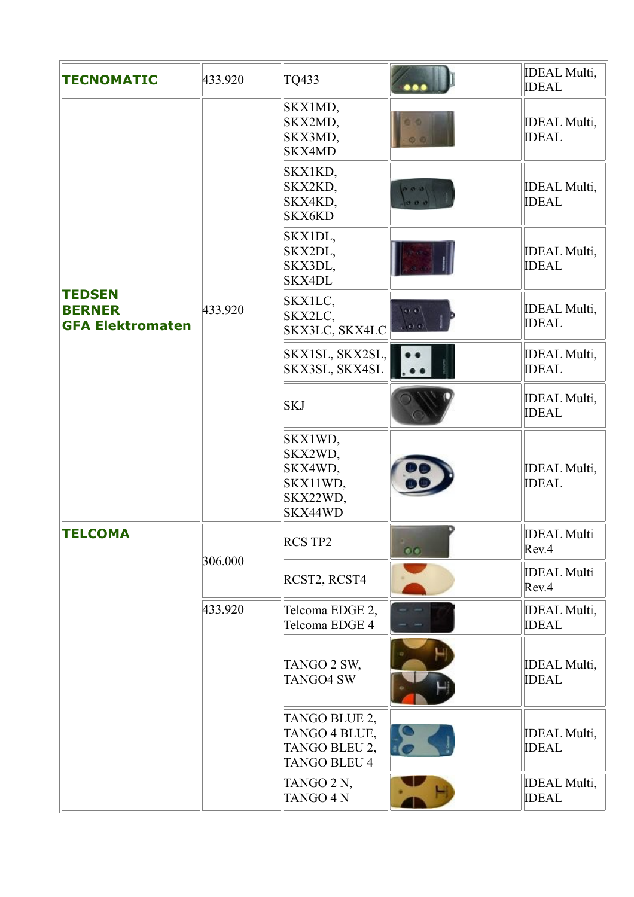| <b>TECNOMATIC</b>                                         | 433.920 | TQ433                                                                  |                                     | <b>IDEAL Multi,</b><br><b>IDEAL</b> |
|-----------------------------------------------------------|---------|------------------------------------------------------------------------|-------------------------------------|-------------------------------------|
| <b>TEDSEN</b><br><b>BERNER</b><br><b>GFA Elektromaten</b> |         | SKX1MD,<br>SKX2MD,<br>SKX3MD,<br><b>SKX4MD</b>                         | $\circ$<br>$\circ$                  | <b>IDEAL Multi,</b><br><b>IDEAL</b> |
|                                                           |         | SKX1KD,<br>SKX2KD,<br>SKX4KD,<br><b>SKX6KD</b>                         | 0.0.0<br>$\sigma$ $\sigma$ $\sigma$ | <b>IDEAL Multi,</b><br><b>IDEAL</b> |
|                                                           |         | SKX1DL,<br>SKX2DL,<br>SKX3DL,<br><b>SKX4DL</b>                         |                                     | <b>IDEAL Multi,</b><br><b>IDEAL</b> |
|                                                           | 433.920 | SKX1LC,<br>SKX2LC,<br>SKX3LC, SKX4LC                                   | $\Omega$                            | <b>IDEAL Multi,</b><br><b>IDEAL</b> |
|                                                           |         | SKX1SL, SKX2SL,<br>SKX3SL, SKX4SL                                      |                                     | <b>IDEAL Multi,</b><br><b>IDEAL</b> |
|                                                           |         | <b>SKJ</b>                                                             |                                     | <b>IDEAL Multi,</b><br><b>IDEAL</b> |
|                                                           |         | SKX1WD,<br>SKX2WD,<br>SKX4WD,<br>SKX11WD,<br>SKX22WD,<br>SKX44WD       |                                     | <b>IDEAL Multi,</b><br><b>IDEAL</b> |
| <b>TELCOMA</b>                                            | 306.000 | RCS TP2                                                                | $\bullet$                           | <b>IDEAL Multi</b><br>Rev.4         |
|                                                           |         | RCST2, RCST4                                                           |                                     | <b>IDEAL Multi</b><br>Rev.4         |
|                                                           | 433.920 | Telcoma EDGE 2,<br>Telcoma EDGE 4                                      |                                     | <b>IDEAL Multi,</b><br><b>IDEAL</b> |
|                                                           |         | TANGO 2 SW,<br><b>TANGO4 SW</b>                                        |                                     | <b>IDEAL Multi,</b><br><b>IDEAL</b> |
|                                                           |         | TANGO BLUE 2,<br>TANGO 4 BLUE,<br>TANGO BLEU 2,<br><b>TANGO BLEU 4</b> |                                     | <b>IDEAL Multi,</b><br><b>IDEAL</b> |
|                                                           |         | TANGO 2 N,<br><b>TANGO 4 N</b>                                         |                                     | <b>IDEAL Multi,</b><br><b>IDEAL</b> |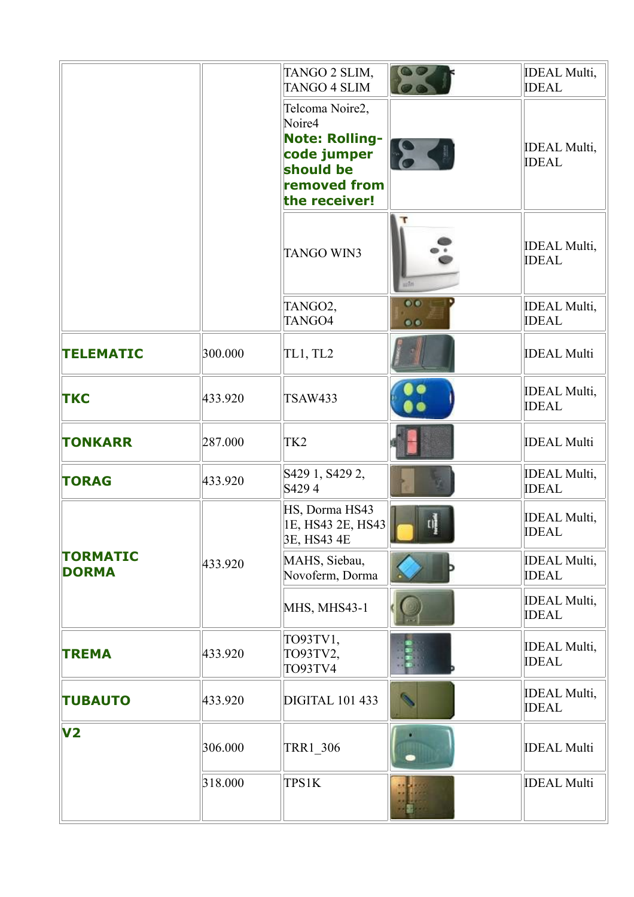|                                 |         | TANGO 2 SLIM,<br><b>TANGO 4 SLIM</b>                                                                            |                        | <b>IDEAL Multi,</b><br><b>IDEAL</b>  |
|---------------------------------|---------|-----------------------------------------------------------------------------------------------------------------|------------------------|--------------------------------------|
|                                 |         | Telcoma Noire2,<br>Noire4<br><b>Note: Rolling-</b><br>code jumper<br>should be<br>removed from<br>the receiver! | <b>PO</b> 4            | <b>IDEAL Multi,</b><br><b>IDEAL</b>  |
|                                 |         | <b>TANGO WIN3</b>                                                                                               | uz7ri                  | <b>IDEAL Multi,</b><br><b>IDEAL</b>  |
|                                 |         | TANGO2,<br>TANGO4                                                                                               | $\bullet$<br>$\bullet$ | <b>IDEAL Multi,</b><br><b>IDEAL</b>  |
| <b>TELEMATIC</b>                | 300.000 | TL1, TL2                                                                                                        |                        | <b>IDEAL Multi</b>                   |
| <b>TKC</b>                      | 433.920 | <b>TSAW433</b>                                                                                                  |                        | <b>IDEAL Multi,</b><br><b>IDEAL</b>  |
| <b>TONKARR</b>                  | 287.000 | TK <sub>2</sub>                                                                                                 |                        | <b>IDEAL Multi</b>                   |
| <b>TORAG</b>                    | 433.920 | S429 1, S429 2,<br>S4294                                                                                        |                        | <b>IDEAL Multi,</b><br><b>IDEAL</b>  |
|                                 |         | HS, Dorma HS43<br>1E, HS43 2E, HS43<br>3E, HS43 4E                                                              |                        | <b>IDEAL Multi,</b><br><b>IDEAL</b>  |
| <b>TORMATIC</b><br><b>DORMA</b> | 433.920 | MAHS, Siebau,<br>Novoferm, Dorma                                                                                |                        | <b>IDEAL Multi,</b><br><b>IDEAL</b>  |
|                                 |         | MHS, MHS43-1                                                                                                    |                        | <b>IDEAL Multi</b> ,<br><b>IDEAL</b> |
| <b>TREMA</b>                    | 433.920 | TO93TV1,<br>TO93TV2,<br>TO93TV4                                                                                 |                        | <b>IDEAL Multi,</b><br><b>IDEAL</b>  |
| <b>TUBAUTO</b>                  | 433.920 | <b>DIGITAL 101 433</b>                                                                                          |                        | <b>IDEAL Multi,</b><br><b>IDEAL</b>  |
| V <sub>2</sub>                  | 306.000 | <b>TRR1_306</b>                                                                                                 |                        | <b>IDEAL Multi</b>                   |
|                                 | 318.000 | <b>TPS1K</b>                                                                                                    |                        | <b>IDEAL Multi</b>                   |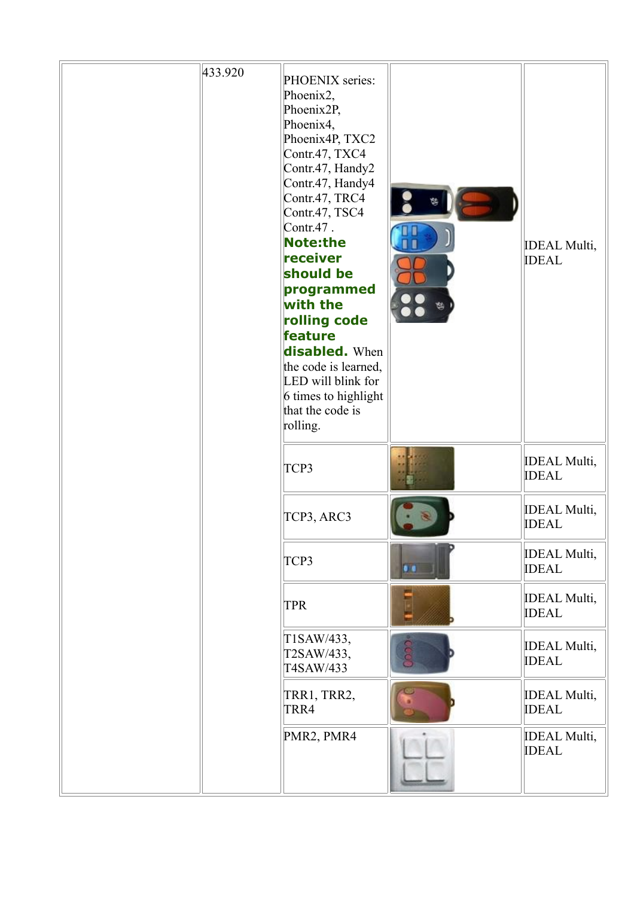| 433.920 | PHOENIX series:<br>Phoenix2,<br>Phoenix2P,<br>Phoenix4,<br>Phoenix4P, TXC2<br>Contr.47, TXC4<br>Contr.47, Handy2<br>Contr.47, Handy4<br>Contr.47, TRC4<br>Contr.47, TSC4<br>$Contr.47$ .<br><b>Note:the</b><br>receiver<br>should be<br>programmed<br>with the<br>rolling code<br>feature<br>disabled. When<br>the code is learned,<br>LED will blink for<br>6 times to highlight<br>that the code is<br>rolling. | ₩   | <b>IDEAL Multi,</b><br><b>IDEAL</b>  |
|---------|-------------------------------------------------------------------------------------------------------------------------------------------------------------------------------------------------------------------------------------------------------------------------------------------------------------------------------------------------------------------------------------------------------------------|-----|--------------------------------------|
|         | TCP3                                                                                                                                                                                                                                                                                                                                                                                                              |     | <b>IDEAL Multi,</b><br><b>IDEAL</b>  |
|         | TCP3, ARC3                                                                                                                                                                                                                                                                                                                                                                                                        |     | <b>IDEAL Multi,</b><br><b>IDEAL</b>  |
|         | TCP3                                                                                                                                                                                                                                                                                                                                                                                                              | . . | <b>IDEAL Multi</b> ,<br><b>IDEAL</b> |
|         | <b>TPR</b>                                                                                                                                                                                                                                                                                                                                                                                                        |     | <b>IDEAL Multi,</b><br><b>IDEAL</b>  |
|         | T1SAW/433,<br>T2SAW/433,<br>T4SAW/433                                                                                                                                                                                                                                                                                                                                                                             | coo | <b>IDEAL Multi</b> ,<br><b>IDEAL</b> |
|         | TRR1, TRR2,<br>TRR4                                                                                                                                                                                                                                                                                                                                                                                               |     | <b>IDEAL Multi</b> ,<br><b>IDEAL</b> |
|         | PMR2, PMR4                                                                                                                                                                                                                                                                                                                                                                                                        |     | <b>IDEAL Multi,</b><br><b>IDEAL</b>  |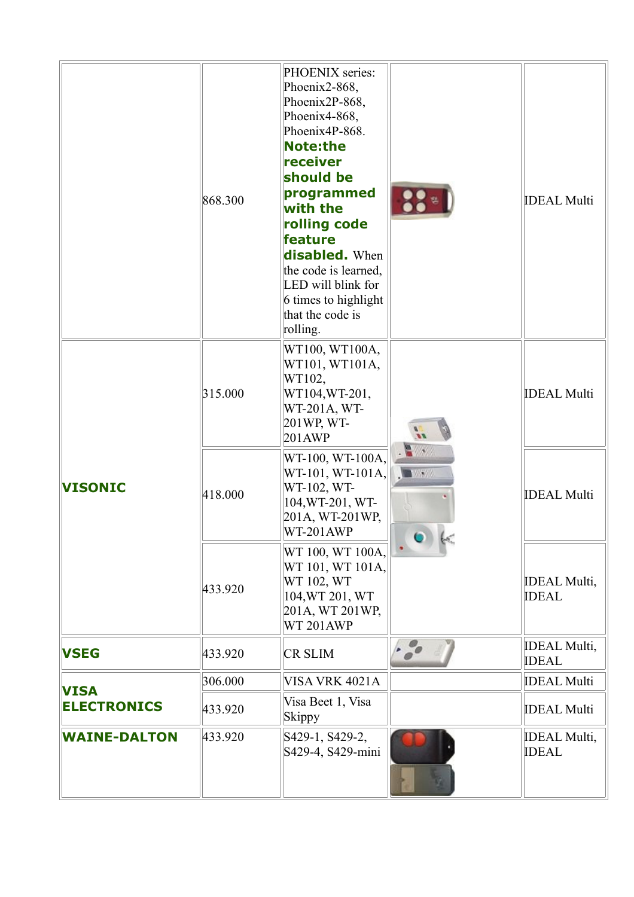|                     | 868.300 | PHOENIX series:<br>Phoenix2-868,<br>Phoenix2P-868,<br>Phoenix4-868,<br>Phoenix4P-868.<br><b>Note:the</b><br>receiver<br>should be<br>programmed<br>with the<br>rolling code<br>feature<br><b>disabled.</b> When<br>the code is learned,<br>LED will blink for<br>6 times to highlight<br>that the code is<br>rolling. | $\frac{1}{2}$                         | <b>IDEAL Multi</b>                  |
|---------------------|---------|-----------------------------------------------------------------------------------------------------------------------------------------------------------------------------------------------------------------------------------------------------------------------------------------------------------------------|---------------------------------------|-------------------------------------|
|                     | 315.000 | WT100, WT100A,<br>WT101, WT101A,<br>WT102,<br>WT104, WT-201,<br>WT-201A, WT-<br>201WP, WT-<br>201AWP                                                                                                                                                                                                                  |                                       | <b>IDEAL Multi</b>                  |
| <b>VISONIC</b>      | 418.000 | WT-100, WT-100A,<br>$WT-101, WT-101A,$<br>WT-102, WT-<br>104, WT-201, WT-<br>201A, WT-201WP,<br>WT-201AWP                                                                                                                                                                                                             | $\mathbf{A}$<br><b>ALL WAY</b><br>611 | <b>IDEAL Multi</b>                  |
|                     | 433.920 | WT 100, WT 100A,<br>WT 101, WT 101A,<br>WT 102, WT<br>104, WT 201, WT<br>201A, WT 201WP,<br>WT 201AWP                                                                                                                                                                                                                 |                                       | <b>IDEAL Multi,</b><br><b>IDEAL</b> |
| <b>VSEG</b>         | 433.920 | <b>CR SLIM</b>                                                                                                                                                                                                                                                                                                        | $\cdot \frac{1}{\sigma}$              | <b>IDEAL Multi,</b><br><b>IDEAL</b> |
| <b>VISA</b>         | 306.000 | VISA VRK 4021A                                                                                                                                                                                                                                                                                                        |                                       | <b>IDEAL Multi</b>                  |
| <b>ELECTRONICS</b>  | 433.920 | Visa Beet 1, Visa<br>Skippy                                                                                                                                                                                                                                                                                           |                                       | <b>IDEAL Multi</b>                  |
| <b>WAINE-DALTON</b> | 433.920 | S429-1, S429-2,<br>S429-4, S429-mini                                                                                                                                                                                                                                                                                  |                                       | <b>IDEAL Multi,</b><br><b>IDEAL</b> |